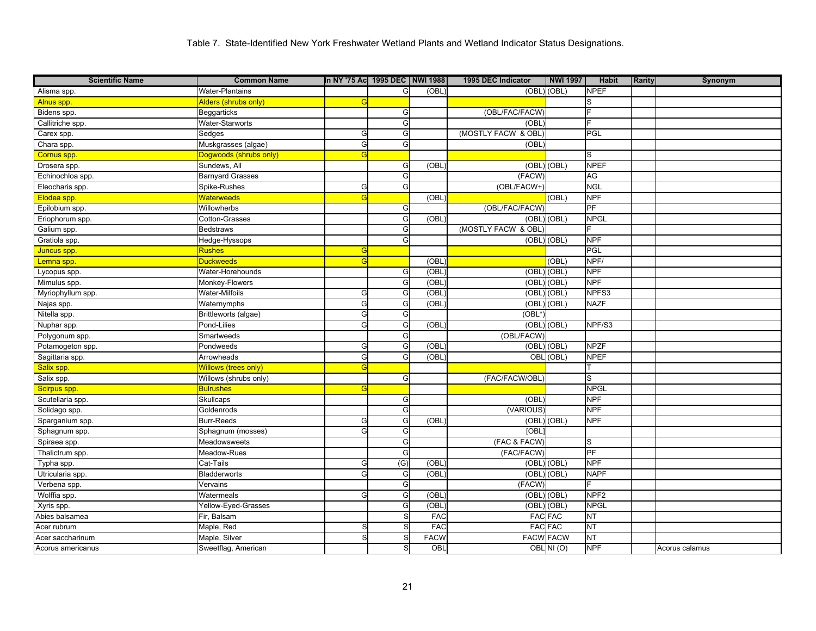| <b>Scientific Name</b> | <b>Common Name</b>          | In NY '75 Ac 1995 DEC NWI 1988 |                  |             | 1995 DEC Indicator  | <b>NWI 1997</b> | <b>Habit</b>     | Rarity | Synonym        |
|------------------------|-----------------------------|--------------------------------|------------------|-------------|---------------------|-----------------|------------------|--------|----------------|
| Alisma spp.            | <b>Water-Plantains</b>      |                                | G                | (OBL)       |                     | (OBL) (OBL)     | <b>NPEF</b>      |        |                |
| Alnus spp.             | Alders (shrubs only)        | G                              |                  |             |                     |                 |                  |        |                |
| Bidens spp.            | Beggarticks                 |                                | G                |             | (OBL/FAC/FACW)      |                 |                  |        |                |
| Callitriche spp.       | Water-Starworts             |                                | G                |             | (OBL                |                 |                  |        |                |
| Carex spp.             | Sedges                      | G                              | G                |             | (MOSTLY FACW & OBL) |                 | PGL              |        |                |
| Chara spp.             | Muskgrasses (algae)         | G                              | G                |             | (OBL                |                 |                  |        |                |
| Cornus spp.            | Dogwoods (shrubs only)      | G                              |                  |             |                     |                 | S                |        |                |
| Drosera spp.           | Sundews, All                |                                | G                | (OBL        |                     | (OBL) (OBL)     | <b>NPEF</b>      |        |                |
| Echinochloa spp.       | <b>Barnyard Grasses</b>     |                                | G                |             | (FACW)              |                 | AG               |        |                |
| Eleocharis spp.        | Spike-Rushes                | G                              | G                |             | (OBL/FACW+)         |                 | <b>NGL</b>       |        |                |
| Elodea spp.            | <b>Waterweeds</b>           |                                |                  | (OBL)       |                     | (OBL)           | <b>NPF</b>       |        |                |
| Epilobium spp.         | Willowherbs                 |                                | G                |             | (OBL/FAC/FACW)      |                 | PF               |        |                |
| Eriophorum spp.        | Cotton-Grasses              |                                | G                | (OBL        |                     | (OBL) (OBL)     | <b>NPGL</b>      |        |                |
| Galium spp.            | <b>Bedstraws</b>            |                                | G                |             | (MOSTLY FACW & OBL) |                 | F                |        |                |
| Gratiola spp.          | Hedge-Hyssops               |                                | G                |             | (OBL) (OBL)         |                 | <b>NPF</b>       |        |                |
| Juncus spp.            | Rushes                      | G                              |                  |             |                     |                 | PGL              |        |                |
| Lemna spp.             | Duckweeds                   | G                              |                  | (OBL        |                     | (OBL)           | NPF/             |        |                |
| Lycopus spp.           | Water-Horehounds            |                                | G                | (OBL        | (OBL)               | (OBL)           | <b>NPF</b>       |        |                |
| Mimulus spp.           | Monkey-Flowers              |                                | G                | (OBL        | (OBL)               | (OBL)           | <b>NPF</b>       |        |                |
| Myriophyllum spp.      | Water-Milfoils              | G                              | G                | (OBL        | (OBL)               | (OBL)           | NPFS3            |        |                |
| Najas spp.             | Waternymphs                 | G                              | G                | (OBL        |                     | (OBL) (OBL)     | <b>NAZF</b>      |        |                |
| Nitella spp.           | Brittleworts (algae)        | G                              | G                |             | (OBL*               |                 |                  |        |                |
| Nuphar spp.            | Pond-Lilies                 | G                              | G                | (OBL        | (OBL) (OBL)         |                 | NPF/S3           |        |                |
| Polygonum spp.         | Smartweeds                  |                                | G                |             | (OBL/FACW)          |                 |                  |        |                |
| Potamogeton spp.       | Pondweeds                   | G                              | G                | (OBL        |                     | (OBL) (OBL)     | <b>NPZF</b>      |        |                |
| Sagittaria spp.        | Arrowheads                  | G                              | G                | (OBL)       |                     | OBL (OBL)       | <b>NPEF</b>      |        |                |
| Salix spp.             | <b>Willows (trees only)</b> | G                              |                  |             |                     |                 |                  |        |                |
| Salix spp.             | Willows (shrubs only)       |                                | G                |             | (FAC/FACW/OBL)      |                 | S                |        |                |
| Scirpus spp.           | <b>Bulrushes</b>            |                                |                  |             |                     |                 | <b>NPGL</b>      |        |                |
| Scutellaria spp.       | Skullcaps                   |                                | G                |             | (OBL                |                 | <b>NPF</b>       |        |                |
| Solidago spp.          | Goldenrods                  |                                | G                |             | (VARIOUS)           |                 | <b>NPF</b>       |        |                |
| Sparganium spp.        | <b>Burr-Reeds</b>           | G                              | G                | (OBL        | (OBL)               | (OBL)           | <b>NPF</b>       |        |                |
| Sphagnum spp.          | Sphagnum (mosses)           | G                              | G                |             | <b>TOBL</b>         |                 |                  |        |                |
| Spiraea spp.           | Meadowsweets                |                                | G                |             | (FAC & FACW)        |                 | S                |        |                |
| Thalictrum spp.        | Meadow-Rues                 |                                | G                |             | (FAC/FACW)          |                 | PF               |        |                |
| Typha spp.             | Cat-Tails                   | G                              | $\overline{(G)}$ | (OBL)       | $(OBL)$ $(OBL)$     |                 | <b>NPF</b>       |        |                |
| Utricularia spp.       | <b>Bladderworts</b>         | G                              | G                | (OBL        | (OBL)               | (OBL)           | <b>NAPF</b>      |        |                |
| Verbena spp.           | Vervains                    |                                | G                |             | (FACW)              |                 |                  |        |                |
| Wolffia spp.           | Watermeals                  | G                              | G                | (OBL        | (OBL)               | (OBL)           | NPF <sub>2</sub> |        |                |
| Xyris spp.             | Yellow-Eyed-Grasses         |                                | G                | (OBL        | (OBL)               | (OBL)           | <b>NPGL</b>      |        |                |
| Abies balsamea         | Fir, Balsam                 |                                | S                | FAC         |                     | <b>FAC FAC</b>  | <b>NT</b>        |        |                |
| Acer rubrum            | Maple, Red                  | S                              | S                | <b>FAC</b>  |                     | <b>FAC FAC</b>  | <b>NT</b>        |        |                |
| Acer saccharinum       | Maple, Silver               | S                              | S                | <b>FACW</b> | <b>FACW FACW</b>    |                 | <b>NT</b>        |        |                |
| Acorus americanus      | Sweetflag, American         |                                | S                | OBL         |                     | OBL NI(O)       | <b>NPF</b>       |        | Acorus calamus |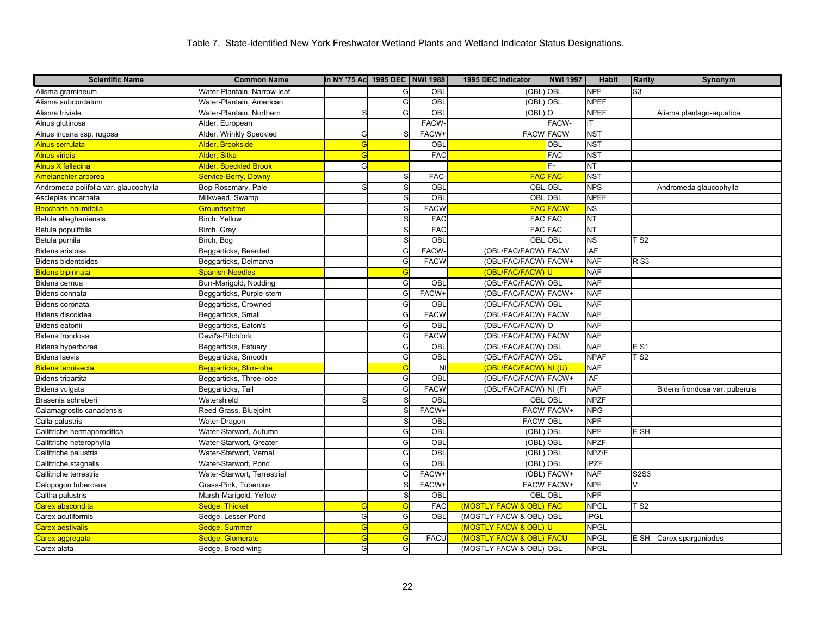| <b>Scientific Name</b>                | <b>Common Name</b>          | In NY '75 Ac 1995 DEC NWI 1988 |    |              | 1995 DEC Indicator       | <b>NWI 1997</b>   | <b>Habit</b>           | <b>Rarity</b>  | Synonym                       |
|---------------------------------------|-----------------------------|--------------------------------|----|--------------|--------------------------|-------------------|------------------------|----------------|-------------------------------|
| Alisma gramineum                      | Water-Plantain, Narrow-leaf |                                | G  | OBL          | (OBL) OBL                |                   | <b>NPF</b>             | S <sub>3</sub> |                               |
| Alisma subcordatum                    | Water-Plantain, American    |                                | G  | OBL          | (OBL) OBL                |                   | <b>NPEF</b>            |                |                               |
| Alisma triviale                       | Water-Plantain, Northern    | S                              | G  | OBL          | $(OBL)$ <sup>O</sup>     |                   | <b>NPEF</b>            |                | Alisma plantago-aquatica      |
| Alnus glutinosa                       | Alder, European             |                                |    | <b>FACW</b>  |                          | FACW-             | IT                     |                |                               |
| Alnus incana ssp. rugosa              | Alder, Wrinkly Speckled     | G                              |    | <b>FACW-</b> | <b>FACW FACW</b>         |                   | <b>NST</b>             |                |                               |
| Alnus serrulata                       | Alder, Brookside            | G                              |    | OBL          |                          | OBL               | <b>NST</b>             |                |                               |
| Alnus viridis                         | Alder, Sitka                | G                              |    | <b>FAC</b>   |                          | <b>FAC</b>        | <b>NST</b>             |                |                               |
| Alnus X fallacina                     | Alder, Speckled Brook       | G                              |    |              |                          | $F+$              | $\overline{\text{NT}}$ |                |                               |
| Amelanchier arborea                   | Service-Berry, Downy        |                                |    | <b>FAC</b>   |                          | <b>FAC FAC-</b>   | <b>NST</b>             |                |                               |
| Andromeda polifolia var. glaucophylla | Bog-Rosemary, Pale          | S                              | S. | OBL          | <b>OBLOBL</b>            |                   | <b>NPS</b>             |                | Andromeda glaucophylla        |
| Asclepias incarnata                   | Milkweed, Swamp             |                                | S  | OBL          | OBL OBL                  |                   | <b>NPEF</b>            |                |                               |
| Baccharis halimifolia                 | <b>Groundseltree</b>        |                                | S, | <b>FACW</b>  |                          | <b>FAC FACW</b>   | NS                     |                |                               |
| Betula alleghaniensis                 | Birch, Yellow               |                                |    | <b>FAC</b>   |                          | <b>FAC FAC</b>    | <b>NT</b>              |                |                               |
| Betula populifolia                    | Birch, Gray                 |                                | S, | <b>FAC</b>   |                          | <b>FAC FAC</b>    | <b>NT</b>              |                |                               |
| Betula pumila                         | Birch, Bog                  |                                |    | OBL          | OBL OBL                  |                   | <b>NS</b>              | T S2           |                               |
| <b>Bidens aristosa</b>                | Beggarticks, Bearded        |                                | G  | <b>FACW</b>  | (OBL/FAC/FACW) FACW      |                   | <b>IAF</b>             |                |                               |
| <b>Bidens bidentoides</b>             | Beggarticks, Delmarva       |                                | G  | <b>FACW</b>  | (OBL/FAC/FACW) FACW+     |                   | <b>NAF</b>             | <b>RS3</b>     |                               |
| Bidens bipinnata                      | Spanish-Needles             |                                | G  |              | (OBL/FAC/FACW)U          |                   | <b>NAF</b>             |                |                               |
| Bidens cernua                         | Burr-Marigold, Nodding      |                                | G  | OBL          | (OBL/FAC/FACW) OBL       |                   | <b>NAF</b>             |                |                               |
| Bidens connata                        | Beggarticks, Purple-stem    |                                | G  | FACW+        | (OBL/FAC/FACW) FACW+     |                   | <b>NAF</b>             |                |                               |
| <b>Bidens coronata</b>                | Beggarticks, Crowned        |                                | G  | OBL          | (OBL/FAC/FACW) OBL       |                   | <b>NAF</b>             |                |                               |
| Bidens discoidea                      | Beggarticks, Small          |                                | G  | <b>FACW</b>  | (OBL/FAC/FACW) FACW      |                   | <b>NAF</b>             |                |                               |
| Bidens eatonii                        | Beggarticks, Eaton's        |                                | G  | OBL          | (OBL/FAC/FACW) O         |                   | <b>NAF</b>             |                |                               |
| <b>Bidens frondosa</b>                | Devil's-Pitchfork           |                                | G  | <b>FACW</b>  | (OBL/FAC/FACW) FACW      |                   | <b>NAF</b>             |                |                               |
| Bidens hyperborea                     | Beggarticks, Estuary        |                                | G  | OBL          | (OBL/FAC/FACW) OBL       |                   | <b>NAF</b>             | E S1           |                               |
| <b>Bidens laevis</b>                  | Beggarticks, Smooth         |                                | G  | OBL          | (OBL/FAC/FACW) OBL       |                   | <b>NPAF</b>            | $\sqrt{S}$     |                               |
| <b>Bidens tenuisecta</b>              | Beggarticks, Slim-lobe      |                                | G  | <b>NI</b>    | (OBL/FAC/FACW) NI (U)    |                   | <b>NAF</b>             |                |                               |
| Bidens tripartita                     | Beggarticks, Three-lobe     |                                | G  | OBL          | (OBL/FAC/FACW) FACW+     |                   | <b>IAF</b>             |                |                               |
| Bidens vulgata                        | Beggarticks, Tall           |                                | G  | <b>FACW</b>  | (OBL/FAC/FACW) NI (F)    |                   | <b>NAF</b>             |                | Bidens frondosa var. puberula |
| Brasenia schreberi                    | Watershield                 | S                              | S  | OBL          | <b>OBL OBL</b>           |                   | <b>NPZF</b>            |                |                               |
| Calamagrostis canadensis              | Reed Grass, Bluejoint       |                                |    | FACW+        |                          | <b>FACW FACW+</b> | <b>NPG</b>             |                |                               |
| Calla palustris                       | Water-Dragon                |                                | S  | OBL          | <b>FACW OBL</b>          |                   | <b>NPF</b>             |                |                               |
| Callitriche hermaphroditica           | Water-Starwort, Autumn      |                                | G  | OBL          | (OBL)                    | OBL               | <b>NPF</b>             | E SH           |                               |
| Callitriche heterophylla              | Water-Starwort, Greater     |                                | G  | OBL          | (OBL) OBL                |                   | <b>NPZF</b>            |                |                               |
| Callitriche palustris                 | Water-Starwort, Vernal      |                                | G  | OBL          | (OBL                     | <b>OBL</b>        | NPZ/F                  |                |                               |
| Callitriche stagnalis                 | Water-Starwort, Pond        |                                | G  | OBL          | (OBL) OBL                |                   | <b>IPZF</b>            |                |                               |
| Callitriche terrestris                | Water-Starwort, Terrestrial |                                | G  | FACW+        |                          | (OBL) FACW+       | <b>NAF</b>             | S2S3           |                               |
| Calopogon tuberosus                   | Grass-Pink, Tuberous        |                                |    | <b>FACW-</b> |                          | <b>FACW FACW+</b> | <b>NPF</b>             | $\sqrt{}$      |                               |
| Caltha palustris                      | Marsh-Marigold, Yellow      |                                | S  | OBL          |                          | <b>OBLOBL</b>     | <b>NPF</b>             |                |                               |
| Carex abscondita                      | Sedge, Thicket              | G                              | G  | FAC          | (MOSTLY FACW & OBL) FAC  |                   | <b>NPGL</b>            | TS2            |                               |
| Carex acutiformis                     | Sedge, Lesser Pond          | G                              | G  | <b>OBL</b>   | (MOSTLY FACW & OBL) OBL  |                   | <b>IPGL</b>            |                |                               |
| Carex aestivalis                      | Sedge, Summer               | G                              | G  |              | (MOSTLY FACW & OBL)U     |                   | <b>NPGL</b>            |                |                               |
| Carex aggregata                       | Sedge, Glomerate            | G                              | G  | <b>FACL</b>  | (MOSTLY FACW & OBL) FACU |                   | <b>NPGL</b>            | E SH           | Carex sparganiodes            |
| Carex alata                           | Sedge, Broad-wing           | G                              | G  |              | (MOSTLY FACW & OBL) OBL  |                   | <b>NPGL</b>            |                |                               |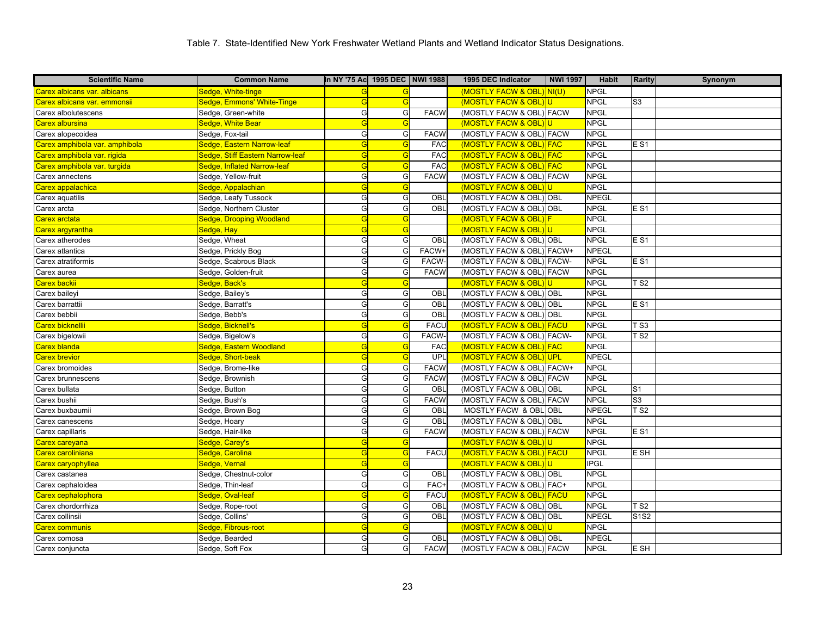| <b>Scientific Name</b>         | <b>Common Name</b>               | In NY '75 Ac 1995 DEC   NWI 1988 |            |             | 1995 DEC Indicator        | <b>NWI 1997</b> | Habit        | <b>Rarity</b>                 | Synonym |
|--------------------------------|----------------------------------|----------------------------------|------------|-------------|---------------------------|-----------------|--------------|-------------------------------|---------|
| Carex albicans var. albicans   | Sedge, White-tinge               | G                                |            |             | (MOSTLY FACW & OBL) NI(U) |                 | <b>NPGL</b>  |                               |         |
| Carex albicans var. emmonsii   | Sedge, Emmons' White-Tinge       | G                                | G          |             | (MOSTLY FACW & OBL)       | lul             | <b>NPGL</b>  | S <sub>3</sub>                |         |
| Carex albolutescens            | Sedge, Green-white               | G                                | G          | <b>FACW</b> | (MOSTLY FACW & OBL) FACW  |                 | <b>NPGL</b>  |                               |         |
| Carex albursina                | Sedge, White Bear                | G                                | G          |             | (MOSTLY FACW & OBL)       | IU.             | <b>NPGL</b>  |                               |         |
| Carex alopecoidea              | Sedge, Fox-tail                  | G                                | G          | <b>FACW</b> | (MOSTLY FACW & OBL) FACW  |                 | <b>NPGL</b>  |                               |         |
| Carex amphibola var. amphibola | Sedge, Eastern Narrow-leaf       | G                                | G          | <b>FAC</b>  | (MOSTLY FACW & OBL) FAC   |                 | <b>NPGL</b>  | $E$ S1                        |         |
| Carex amphibola var. rigida    | Sedge, Stiff Eastern Narrow-leaf | G                                | G          | <b>FAC</b>  | (MOSTLY FACW & OBL) FAC   |                 | <b>NPGL</b>  |                               |         |
| Carex amphibola var. turgida   | Sedge, Inflated Narrow-leaf      | G                                | G          | <b>FAC</b>  | (MOSTLY FACW & OBL) FAC   |                 | <b>NPGL</b>  |                               |         |
| Carex annectens                | Sedge, Yellow-fruit              | G                                | G          | <b>FACW</b> | (MOSTLY FACW & OBL) FACW  |                 | <b>NPGL</b>  |                               |         |
| Carex appalachica              | Sedge, Appalachian               | G                                | $\epsilon$ |             | (MOSTLY FACW & OBL        |                 | <b>NPGL</b>  |                               |         |
| Carex aquatilis                | Sedge, Leafy Tussock             | G                                | G          | OBL         | (MOSTLY FACW & OBL) OBL   |                 | <b>NPEGL</b> |                               |         |
| Carex arcta                    | Sedge, Northern Cluster          | G                                | G          | OBL         | (MOSTLY FACW & OBL) OBL   |                 | <b>NPGL</b>  | E S1                          |         |
| Carex arctata                  | Sedge, Drooping Woodland         | G                                | G          |             | (MOSTLY FACW & OBL)       |                 | <b>NPGL</b>  |                               |         |
| Carex argyrantha               | Sedge, Hay                       | G                                | G          |             | (MOSTLY FACW & OBL)U      |                 | <b>NPGL</b>  |                               |         |
| Carex atherodes                | Sedge, Wheat                     | G                                | G          | OBL         | (MOSTLY FACW & OBL) OBL   |                 | <b>NPGL</b>  | <b>ES1</b>                    |         |
| Carex atlantica                | Sedge, Prickly Bog               | G                                | G          | FACW+       | (MOSTLY FACW & OBL) FACW+ |                 | <b>NPEGL</b> |                               |         |
| Carex atratiformis             | Sedge, Scabrous Black            | G                                | G          | FACW-       | (MOSTLY FACW & OBL) FACW- |                 | <b>NPGL</b>  | <b>ES1</b>                    |         |
| Carex aurea                    | Sedge, Golden-fruit              | G                                | G          | <b>FACW</b> | (MOSTLY FACW & OBL) FACW  |                 | <b>NPGL</b>  |                               |         |
| Carex backii                   | Sedge, Back's                    | G                                | G          |             | (MOSTLY FACW & OBL)       |                 | <b>NPGL</b>  | $\overline{\text{T}}$ S2      |         |
| Carex baileyi                  | Sedge, Bailey's                  | G                                | G          | OBL         | (MOSTLY FACW & OBL) OBL   |                 | <b>NPGL</b>  |                               |         |
| Carex barrattii                | Sedge, Barratt's                 | G                                | G          | OBL         | (MOSTLY FACW & OBL) OBL   |                 | <b>NPGL</b>  | E S1                          |         |
| Carex bebbii                   | Sedge, Bebb's                    | G                                | G          | OBL         | (MOSTLY FACW & OBL) OBL   |                 | <b>NPGL</b>  |                               |         |
| Carex bicknellii               | Sedge, Bicknell's                | G                                | G          | <b>FACU</b> | (MOSTLY FACW & OBL) FACU  |                 | <b>NPGL</b>  | T S3                          |         |
| Carex bigelowii                | Sedge, Bigelow's                 | G                                | G          | FACW-       | (MOSTLY FACW & OBL) FACW- |                 | <b>NPGL</b>  | $\overline{\text{T}}$ S2      |         |
| Carex blanda                   | Sedge, Eastern Woodland          | G                                | G          | <b>FAC</b>  | (MOSTLY FACW & OBL)       | <b>FAC</b>      | <b>NPGL</b>  |                               |         |
| <b>Carex brevior</b>           | Sedge, Short-beak                | G                                | G          | UPL         | (MOSTLY FACW & OBL)       | UPL             | <b>NPEGL</b> |                               |         |
| Carex bromoides                | Sedge, Brome-like                | G                                | G          | <b>FACW</b> | (MOSTLY FACW & OBL) FACW+ |                 | <b>NPGL</b>  |                               |         |
| Carex brunnescens              | Sedge, Brownish                  | G                                | G          | <b>FACW</b> | (MOSTLY FACW & OBL) FACW  |                 | <b>NPGL</b>  |                               |         |
| Carex bullata                  | Sedge, Button                    | G                                | G          | OBL         | (MOSTLY FACW & OBL) OBL   |                 | <b>NPGL</b>  | S <sub>1</sub>                |         |
| Carex bushii                   | Sedge, Bush's                    | G                                | G          | <b>FACW</b> | (MOSTLY FACW & OBL) FACW  |                 | <b>NPGL</b>  | S <sub>3</sub>                |         |
| Carex buxbaumii                | Sedge, Brown Bog                 | G                                | G          | OBL         | MOSTLY FACW & OBL OBL     |                 | <b>NPEGL</b> | T S2                          |         |
| Carex canescens                | Sedge, Hoary                     | G                                | G          | OBL         | (MOSTLY FACW & OBL) OBL   |                 | <b>NPGL</b>  |                               |         |
| Carex capillaris               | Sedge, Hair-like                 | G                                | G          | <b>FACW</b> | (MOSTLY FACW & OBL) FACW  |                 | <b>NPGL</b>  | E S1                          |         |
| Carex careyana                 | Sedge, Carey's                   | G                                | $\epsilon$ |             | (MOSTLY FACW & OBL)U      |                 | <b>NPGL</b>  |                               |         |
| Carex caroliniana              | Sedge, Carolina                  | G                                | G          | <b>FACU</b> | (MOSTLY FACW & OBL) FACU  |                 | <b>NPGL</b>  | E SH                          |         |
| Carex caryophyllea             | Sedge, Vernal                    | G                                | G          |             | (MOSTLY FACW & OBL)       |                 | <b>IPGL</b>  |                               |         |
| Carex castanea                 | Sedge, Chestnut-color            | G                                | G          | OBL         | (MOSTLY FACW & OBL) OBL   |                 | <b>NPGL</b>  |                               |         |
| Carex cephaloidea              | Sedge, Thin-leaf                 | G                                | G          | FAC+        | (MOSTLY FACW & OBL) FAC+  |                 | <b>NPGL</b>  |                               |         |
| Carex cephalophora             | Sedge, Oval-leaf                 | G                                | G          | <b>FACU</b> | (MOSTLY FACW & OBL) FACU  |                 | <b>NPGL</b>  |                               |         |
| Carex chordorrhiza             | Sedge, Rope-root                 | G                                | G          | OBL         | (MOSTLY FACW & OBL) OBL   |                 | <b>NPGL</b>  | T S2                          |         |
| Carex collinsii                | Sedge, Collins'                  | G                                | G          | OBL         | (MOSTLY FACW & OBL) OBL   |                 | <b>NPEGL</b> | S <sub>1</sub> S <sub>2</sub> |         |
| <b>Carex communis</b>          | Sedge, Fibrous-root              | G                                | G          |             | (MOSTLY FACW & OBL)       | IU.             | <b>NPGL</b>  |                               |         |
| Carex comosa                   | Sedge, Bearded                   | G                                | G          | OBL         | (MOSTLY FACW & OBL) OBL   |                 | <b>NPEGL</b> |                               |         |
| Carex conjuncta                | Sedge, Soft Fox                  | G                                | G          | <b>FACW</b> | (MOSTLY FACW & OBL) FACW  |                 | <b>NPGL</b>  | E SH                          |         |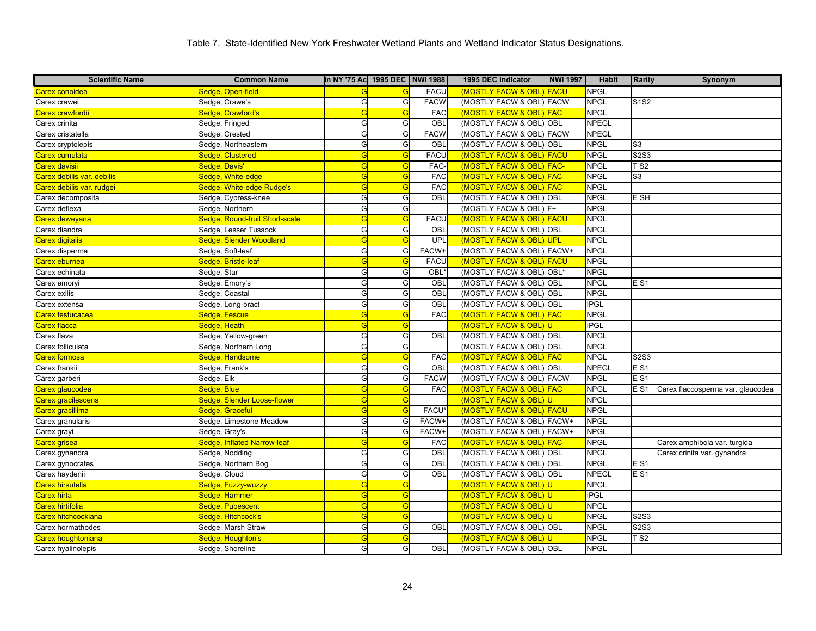| <b>Scientific Name</b>     | <b>Common Name</b>             | In NY '75 Ac 1995 DEC   NWI 1988 |                |             | 1995 DEC Indicator        | <b>NWI 1997</b> | <b>Habit</b> | <b>Rarity</b>          | Synonym                           |
|----------------------------|--------------------------------|----------------------------------|----------------|-------------|---------------------------|-----------------|--------------|------------------------|-----------------------------------|
| Carex conoidea             | Sedge, Open-field              |                                  |                | <b>FACU</b> | (MOSTLY FACW & OBL) FACU  |                 | <b>NPGL</b>  |                        |                                   |
| Carex crawei               | Sedge, Crawe's                 | G                                | G              | <b>FACW</b> | (MOSTLY FACW & OBL) FACW  |                 | <b>NPGL</b>  | <b>S1S2</b>            |                                   |
| Carex crawfordii           | Sedge, Crawford's              | G                                | G              | <b>FAC</b>  | (MOSTLY FACW & OBL) FAC   |                 | <b>NPGL</b>  |                        |                                   |
| Carex crinita              | Sedge, Fringed                 | G                                | G              | OBL         | (MOSTLY FACW & OBL) OBL   |                 | <b>NPEGL</b> |                        |                                   |
| Carex cristatella          | Sedge, Crested                 | G                                | G              | <b>FACW</b> | (MOSTLY FACW & OBL) FACW  |                 | <b>NPEGL</b> |                        |                                   |
| Carex cryptolepis          | Sedge, Northeastern            | G                                | G              | OBL         | (MOSTLY FACW & OBL)       | <b>OBL</b>      | <b>NPGL</b>  | S <sub>3</sub>         |                                   |
| Carex cumulata             | Sedge, Clustered               | G                                | G              | <b>FACU</b> | (MOSTLY FACW & OBL) FACU  |                 | <b>NPGL</b>  | <b>S2S3</b>            |                                   |
| Carex davisii              | Sedge, Davis'                  | G                                | G              | <b>FAC</b>  | (MOSTLY FACW & OBL)       | <b>FAC-</b>     | <b>NPGL</b>  | T S2                   |                                   |
| Carex debilis var. debilis | Sedge, White-edge              | G                                | G              | <b>FAC</b>  | (MOSTLY FACW & OBL) FAC   |                 | <b>NPGL</b>  | S <sub>3</sub>         |                                   |
| Carex debilis var. rudgei  | Sedge, White-edge Rudge's      | G                                | G              | <b>FAC</b>  | (MOSTLY FACW & OBL) FAC   |                 | <b>NPGL</b>  |                        |                                   |
| Carex decomposita          | Sedge, Cypress-knee            | G                                | G              | OBL         | (MOSTLY FACW & OBL) OBL   |                 | <b>NPGL</b>  | E SH                   |                                   |
| Carex deflexa              | Sedge, Northern                | G                                | G              |             | (MOSTLY FACW & OBL) F+    |                 | <b>NPGL</b>  |                        |                                   |
| Carex deweyana             | Sedge, Round-fruit Short-scale | G                                | G              | <b>FACU</b> | (MOSTLY FACW & OBL) FACU  |                 | <b>NPGL</b>  |                        |                                   |
| Carex diandra              | Sedge, Lesser Tussock          | G                                | G              | OBL         | (MOSTLY FACW & OBL) OBL   |                 | <b>NPGL</b>  |                        |                                   |
| Carex digitalis            | Sedge, Slender Woodland        | G                                | $\overline{C}$ | <b>UPL</b>  | (MOSTLY FACW & OBL)       | <b>UPL</b>      | <b>NPGL</b>  |                        |                                   |
| Carex disperma             | Sedge, Soft-leaf               | G                                | G              | FACW+       | (MOSTLY FACW & OBL) FACW+ |                 | <b>NPGL</b>  |                        |                                   |
| <mark>Carex eburnea</mark> | Sedge, Bristle-leaf            | G                                | G              | <b>FACU</b> | (MOSTLY FACW & OBL) FACU  |                 | <b>NPGL</b>  |                        |                                   |
| Carex echinata             | Sedge, Star                    | G                                | G              | OBL         | (MOSTLY FACW & OBL) OBL*  |                 | <b>NPGL</b>  |                        |                                   |
| Carex emoryi               | Sedge, Emory's                 | G                                | G              | OBL         | (MOSTLY FACW & OBL) OBL   |                 | <b>NPGL</b>  | <b>ES1</b>             |                                   |
| Carex exilis               | Sedge, Coastal                 | G                                | G              | OBL         | (MOSTLY FACW & OBL) OBL   |                 | <b>NPGL</b>  |                        |                                   |
| Carex extensa              | Sedge, Long-bract              | G                                | G              | OBL         | (MOSTLY FACW & OBL) OBL   |                 | <b>IPGL</b>  |                        |                                   |
| Carex festucacea           | Sedge, Fescue                  | G                                | G              | <b>FAC</b>  | (MOSTLY FACW & OBL)       | <b>FAC</b>      | <b>NPGL</b>  |                        |                                   |
| Carex flacca               | Sedge, Heath                   | G                                | G              |             | (MOSTLY FACW & OBL)U      |                 | <b>IPGL</b>  |                        |                                   |
| Carex flava                | Sedge, Yellow-green            | G                                | G              | OBL         | (MOSTLY FACW & OBL) OBL   |                 | <b>NPGL</b>  |                        |                                   |
| Carex folliculata          | Sedge, Northern Long           | G                                | G              |             | (MOSTLY FACW & OBL) OBL   |                 | <b>NPGL</b>  |                        |                                   |
| Carex formosa              | Sedge, Handsome                | G                                | G              | <b>FAC</b>  | (MOSTLY FACW & OBL) FAC   |                 | <b>NPGL</b>  | <b>S2S3</b>            |                                   |
| Carex frankii              | Sedge, Frank's                 | G                                | G              | OBL         | (MOSTLY FACW & OBL) OBL   |                 | <b>NPEGL</b> | E S1                   |                                   |
| Carex garberi              | Sedge, Elk                     | G                                | G              | <b>FACW</b> | (MOSTLY FACW & OBL) FACW  |                 | <b>NPGL</b>  | E <sub>S1</sub>        |                                   |
| Carex glaucodea            | Sedge, Blue                    | G                                | G              | <b>FAC</b>  | (MOSTLY FACW & OBL) FAC   |                 | <b>NPGL</b>  | E S1                   | Carex flaccosperma var. glaucodea |
| Carex gracilescens         | Sedge, Slender Loose-flower    | G                                | G              |             | (MOSTLY FACW & OBL)U      |                 | <b>NPGL</b>  |                        |                                   |
| Carex gracillima           | Sedge, Graceful                | G                                | G              | FACU'       | (MOSTLY FACW & OBL) FACU  |                 | <b>NPGL</b>  |                        |                                   |
| Carex granularis           | Sedge, Limestone Meadow        | G                                | G              | FACW+       | (MOSTLY FACW & OBL) FACW+ |                 | <b>NPGL</b>  |                        |                                   |
| Carex grayi                | Sedge, Gray's                  | G                                | G              | FACW+       | (MOSTLY FACW & OBL) FACW+ |                 | <b>NPGL</b>  |                        |                                   |
| Carex grisea               | Sedge, Inflated Narrow-leaf    | G                                | $\epsilon$     | <b>FAC</b>  | (MOSTLY FACW & OBL) FAC   |                 | <b>NPGL</b>  |                        | Carex amphibola var. turgida      |
| Carex gynandra             | Sedge, Nodding                 | G                                | G              | OBL         | (MOSTLY FACW & OBL) OBL   |                 | <b>NPGL</b>  |                        | Carex crinita var. gynandra       |
| Carex gynocrates           | Sedge, Northern Bog            | G                                | G              | OBL         | (MOSTLY FACW & OBL) OBL   |                 | <b>NPGL</b>  | <b>ES1</b>             |                                   |
| Carex haydenii             | Sedge, Cloud                   | G                                | G              | OBL         | (MOSTLY FACW & OBL) OBL   |                 | <b>NPEGL</b> | E S1                   |                                   |
| Carex hirsutella           | Sedge, Fuzzy-wuzzy             | G                                | G              |             | (MOSTLY FACW & OBL)U      |                 | <b>NPGL</b>  |                        |                                   |
| Carex hirta                | Sedge, Hammer                  | G                                | G              |             | (MOSTLY FACW & OBL)U      |                 | <b>IPGL</b>  |                        |                                   |
| Carex hirtifolia           | Sedge, Pubescent               | G                                | G              |             | (MOSTLY FACW & OBL) U     |                 | <b>NPGL</b>  |                        |                                   |
| Carex hitchcockiana        | Sedge, Hitchcock's             | G                                | G              |             | (MOSTLY FACW & OBL)       |                 | <b>NPGL</b>  | <b>S2S3</b>            |                                   |
| Carex hormathodes          | Sedge, Marsh Straw             | G                                | G              | OBL         | (MOSTLY FACW & OBL) OBL   |                 | <b>NPGL</b>  | <b>S2S3</b>            |                                   |
| <u>Carex houghtoniana</u>  | Sedge, Houghton's              | G                                | G              |             | (MOSTLY FACW & OBL)       | lU.             | <b>NPGL</b>  | $\overline{\sqrt{S2}}$ |                                   |
| Carex hyalinolepis         | Sedge, Shoreline               | G                                | G              | <b>OBL</b>  | (MOSTLY FACW & OBL) OBL   |                 | <b>NPGL</b>  |                        |                                   |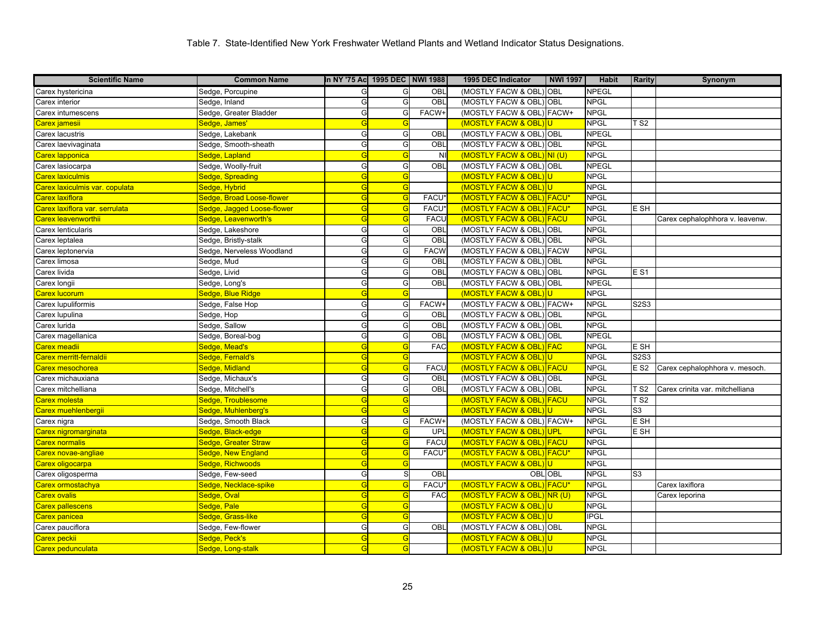| <b>Scientific Name</b>         | <b>Common Name</b>         | In NY '75 Ac 1995 DEC NWI 1988 |   |                   | 1995 DEC Indicator             | <b>NWI 1997</b> | <b>Habit</b> | <b>Rarity</b>    | Synonym                         |
|--------------------------------|----------------------------|--------------------------------|---|-------------------|--------------------------------|-----------------|--------------|------------------|---------------------------------|
| Carex hystericina              | Sedge, Porcupine           | G                              | G | OBL               | (MOSTLY FACW & OBL) OBL        |                 | <b>NPEGL</b> |                  |                                 |
| Carex interior                 | Sedge, Inland              | G                              | G | OBL               | (MOSTLY FACW & OBL) OBL        |                 | <b>NPGL</b>  |                  |                                 |
| Carex intumescens              | Sedge, Greater Bladder     | G                              | G | FACW+             | (MOSTLY FACW & OBL) FACW+      |                 | <b>NPGL</b>  |                  |                                 |
| Carex jamesii                  | Sedge, James'              | G                              | G |                   | (MOSTLY FACW & OBL             |                 | <b>NPGL</b>  | T S2             |                                 |
| Carex lacustris                | Sedge, Lakebank            | G                              | G | OBL               | (MOSTLY FACW & OBL) OBL        |                 | <b>NPEGL</b> |                  |                                 |
| Carex laevivaginata            | Sedge, Smooth-sheath       | G                              | G | OBL               | (MOSTLY FACW & OBL) OBL        |                 | <b>NPGL</b>  |                  |                                 |
| Carex lapponica                | Sedge, Lapland             | G                              | G | NI                | (MOSTLY FACW & OBL) NI (U)     |                 | <b>NPGL</b>  |                  |                                 |
| Carex lasiocarpa               | Sedge, Woolly-fruit        | G                              | G | OBL               | (MOSTLY FACW & OBL) OBL        |                 | <b>NPEGL</b> |                  |                                 |
| Carex laxiculmis               | Sedge, Spreading           | G                              | G |                   | (MOSTLY FACW & OBL)U           |                 | <b>NPGL</b>  |                  |                                 |
| Carex laxiculmis var. copulata | Sedge, Hybrid              | G                              | G |                   | (MOSTLY FACW & OBL)            | U               | <b>NPGL</b>  |                  |                                 |
| Carex laxiflora                | Sedge, Broad Loose-flower  | G                              | G | FACU'             | (MOSTLY FACW & OBL) FACU*      |                 | <b>NPGL</b>  |                  |                                 |
| Carex laxiflora var. serrulata | Sedge, Jagged Loose-flower | G                              | G | FACU              | (MOSTLY FACW & OBL) FACU*      |                 | <b>NPGL</b>  | E SH             |                                 |
| Carex leavenworthii            | Sedge, Leavenworth's       | G                              | G | <b>FACU</b>       | (MOSTLY FACW & OBL) FACU       |                 | <b>NPGL</b>  |                  | Carex cephalophhora v. leavenw. |
| Carex lenticularis             | Sedge, Lakeshore           | G                              | G | OBL               | (MOSTLY FACW & OBL) OBL        |                 | <b>NPGL</b>  |                  |                                 |
| Carex leptalea                 | Sedge, Bristly-stalk       | G                              | G | OBL               | (MOSTLY FACW & OBL) OBL        |                 | <b>NPGL</b>  |                  |                                 |
| Carex leptonervia              | Sedge, Nerveless Woodland  | G                              | G | <b>FACW</b>       | (MOSTLY FACW & OBL) FACW       |                 | <b>NPGL</b>  |                  |                                 |
| Carex limosa                   | Sedge, Mud                 | G                              | G | OBL               | (MOSTLY FACW & OBL) OBL        |                 | <b>NPGL</b>  |                  |                                 |
| Carex livida                   | Sedge, Livid               | G                              | G | OBL               | (MOSTLY FACW & OBL) OBL        |                 | <b>NPGL</b>  | $E$ S1           |                                 |
| Carex longii                   | Sedge, Long's              | G                              | G | OBL               | (MOSTLY FACW & OBL) OBL        |                 | <b>NPEGL</b> |                  |                                 |
| Carex lucorum                  | Sedge, Blue Ridge          | G                              | G |                   | (MOSTLY FACW & OBL)            |                 | <b>NPGL</b>  |                  |                                 |
| Carex lupuliformis             | Sedge, False Hop           | G                              | G | FACW+             | (MOSTLY FACW & OBL) FACW+      |                 | <b>NPGL</b>  | <b>S2S3</b>      |                                 |
| Carex lupulina                 | Sedge, Hop                 | G                              | G | OBL               | (MOSTLY FACW & OBL) OBL        |                 | <b>NPGL</b>  |                  |                                 |
| Carex lurida                   | Sedge, Sallow              | G                              | G | OBL               | (MOSTLY FACW & OBL) OBL        |                 | <b>NPGL</b>  |                  |                                 |
| Carex magellanica              | Sedge, Boreal-bog          | G                              | G | OBL               | (MOSTLY FACW & OBL) OBL        |                 | <b>NPEGL</b> |                  |                                 |
| Carex meadii                   | Sedge, Mead's              | G                              | G | <b>FAC</b>        | <b>(MOSTLY FACW &amp; OBL)</b> | <b>FAC</b>      | <b>NPGL</b>  | E SH             |                                 |
| Carex merritt-fernaldii        | Sedge, Fernald's           | G                              | G |                   | (MOSTLY FACW & OBL)U           |                 | <b>NPGL</b>  | <b>S2S3</b>      |                                 |
| Carex mesochorea               | Sedge, Midland             | G                              | G | <b>FACU</b>       | (MOSTLY FACW & OBL) FACU       |                 | <b>NPGL</b>  | E S <sub>2</sub> | Carex cephalophhora v. mesoch.  |
| Carex michauxiana              | Sedge, Michaux's           | G                              | G | OBL               | (MOSTLY FACW & OBL) OBL        |                 | <b>NPGL</b>  |                  |                                 |
| Carex mitchelliana             | Sedge, Mitchell's          | G                              | G | OBL               | (MOSTLY FACW & OBL) OBL        |                 | <b>NPGL</b>  | TS2              | Carex crinita var. mitchelliana |
| Carex molesta                  | Sedge, Troublesome         | G                              | G |                   | (MOSTLY FACW & OBL) FACU       |                 | <b>NPGL</b>  | T S2             |                                 |
| Carex muehlenbergii            | Sedge, Muhlenberg's        | G                              | G |                   | (MOSTLY FACW & OBL)            |                 | <b>NPGL</b>  | S3               |                                 |
| Carex nigra                    | Sedge, Smooth Black        | G                              | G | FACW+             | (MOSTLY FACW & OBL) FACW+      |                 | <b>NPGL</b>  | E SH             |                                 |
| Carex nigromarginata           | Sedge, Black-edge          | G                              | G | <b>UPL</b>        | (MOSTLY FACW & OBL)UPL         |                 | <b>NPGL</b>  | E SH             |                                 |
| Carex normalis                 | Sedge, Greater Straw       | G                              | G | <b>FACU</b>       | (MOSTLY FACW & OBL) FACU       |                 | <b>NPGL</b>  |                  |                                 |
| Carex novae-angliae            | Sedge, New England         | G                              | G | <b>FACU</b>       | (MOSTLY FACW & OBL)            | <b>FACU*</b>    | <b>NPGL</b>  |                  |                                 |
| Carex oligocarpa               | Sedge, Richwoods           | G                              | G |                   | <b>(MOSTLY FACW &amp; OBL</b>  |                 | <b>NPGL</b>  |                  |                                 |
| Carex oligosperma              | Sedge, Few-seed            | G                              | S | OBL               |                                | OBL OBL         | <b>NPGL</b>  | S <sub>3</sub>   |                                 |
| Carex ormostachya              | Sedge, Necklace-spike      | G                              | G | FACU <sup>*</sup> | (MOSTLY FACW & OBL) FACU*      |                 | <b>NPGL</b>  |                  | Carex laxiflora                 |
| Carex ovalis                   | Sedge, Oval                | G                              | G | <b>FAC</b>        | (MOSTLY FACW & OBL) NR (U)     |                 | <b>NPGL</b>  |                  | Carex leporina                  |
| Carex pallescens               | Sedge, Pale                | G                              | G |                   | (MOSTLY FACW & OBL) U          |                 | <b>NPGL</b>  |                  |                                 |
| Carex panicea                  | Sedge, Grass-like          | G                              | G |                   | (MOSTLY FACW & OBL)U           |                 | <b>IPGL</b>  |                  |                                 |
| Carex pauciflora               | Sedge, Few-flower          | G                              | G | OBL               | (MOSTLY FACW & OBL) OBL        |                 | <b>NPGL</b>  |                  |                                 |
| Carex peckii                   | Sedge, Peck's              | G                              | G |                   | (MOSTLY FACW & OBL) U          |                 | <b>NPGL</b>  |                  |                                 |
| Carex pedunculata              | Sedge, Long-stalk          | G                              | G |                   | (MOSTLY FACW & OBL) U          |                 | <b>NPGL</b>  |                  |                                 |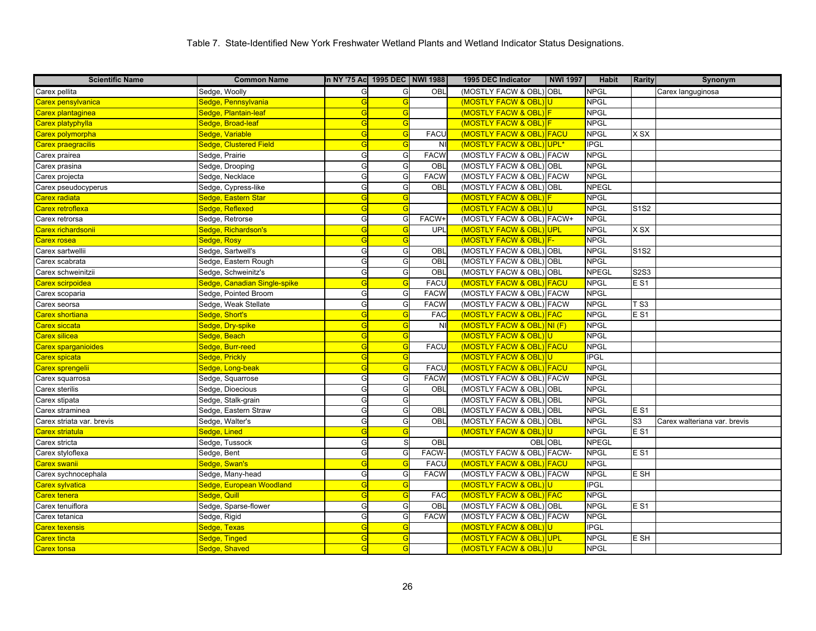| <b>Scientific Name</b>     | <b>Common Name</b>               | In NY '75 Ac  1995 DEC   NWI 1988 |   |                | 1995 DEC Indicator         | <b>NWI 1997</b>  | Habit        | <b>Rarity</b>                 | Synonym                      |
|----------------------------|----------------------------------|-----------------------------------|---|----------------|----------------------------|------------------|--------------|-------------------------------|------------------------------|
| Carex pellita              | Sedge, Woolly                    | G                                 | G | OBL            | (MOSTLY FACW & OBL) OBL    |                  | <b>NPGL</b>  |                               | Carex languginosa            |
| Carex pensylvanica         | Sedge, Pennsylvania              | G                                 | G |                | (MOSTLY FACW & OBL)U       |                  | <b>NPGL</b>  |                               |                              |
| Carex plantaginea          | Sedge, Plantain-leaf             | G                                 | G |                | (MOSTLY FACW & OBL) F      |                  | <b>NPGL</b>  |                               |                              |
| Carex platyphylla          | Sedge, Broad-leaf                | G                                 | G |                | (MOSTLY FACW & OBL)        |                  | <b>NPGL</b>  |                               |                              |
| Carex polymorpha           | Sedge, Variable                  | G                                 | G | <b>FACL</b>    | (MOSTLY FACW & OBL)        | FACU             | <b>NPGL</b>  | <b>XSX</b>                    |                              |
| Carex praegracilis         | Sedge, Clustered Field           | G                                 | G | N <sub>1</sub> | (MOSTLY FACW & OBL)        | UPL <sup>*</sup> | <b>IPGL</b>  |                               |                              |
| Carex prairea              | Sedge, Prairie                   | G                                 | G | <b>FACW</b>    | (MOSTLY FACW & OBL) FACW   |                  | <b>NPGL</b>  |                               |                              |
| Carex prasina              | Sedge, Drooping                  | G                                 | G | OBL            | (MOSTLY FACW & OBL) OBL    |                  | <b>NPGL</b>  |                               |                              |
| Carex projecta             | Sedge, Necklace                  | G                                 | G | <b>FACW</b>    | (MOSTLY FACW & OBL) FACW   |                  | <b>NPGL</b>  |                               |                              |
| Carex pseudocyperus        | Sedge, Cypress-like              | G                                 | G | OBL            | (MOSTLY FACW & OBL) OBL    |                  | <b>NPEGL</b> |                               |                              |
| Carex radiata              | <mark>Sedge, Eastern Star</mark> | G                                 | G |                | (MOSTLY FACW & OBL)        |                  | <b>NPGL</b>  |                               |                              |
| Carex retroflexa           | Sedge, Reflexed                  | G                                 | G |                | (MOSTLY FACW & OBL)U       |                  | <b>NPGL</b>  | <b>S1S2</b>                   |                              |
| Carex retrorsa             | Sedge, Retrorse                  | G                                 | G | FACW+          | (MOSTLY FACW & OBL) FACW+  |                  | <b>NPGL</b>  |                               |                              |
| <b>Carex richardsonii</b>  | Sedge, Richardson's              | G                                 | G | <b>UPL</b>     | (MOSTLY FACW & OBL)UPL     |                  | <b>NPGL</b>  | X SX                          |                              |
| <b>Carex rosea</b>         | Sedge, Rosy                      | G                                 | G |                | (MOSTLY FACW & OBL) F-     |                  | <b>NPGL</b>  |                               |                              |
| Carex sartwellii           | Sedge, Sartwell's                | G                                 | G | OBL            | (MOSTLY FACW & OBL) OBL    |                  | <b>NPGL</b>  | S <sub>1</sub> S <sub>2</sub> |                              |
| Carex scabrata             | Sedge, Eastern Rough             | G                                 | G | OBL            | (MOSTLY FACW & OBL) OBL    |                  | <b>NPGL</b>  |                               |                              |
| Carex schweinitzii         | Sedge, Schweinitz's              | G                                 | G | OBI            | (MOSTLY FACW & OBL) OBL    |                  | <b>NPEGL</b> | <b>S2S3</b>                   |                              |
| <b>Carex scirpoidea</b>    | Sedge, Canadian Single-spike     | G                                 | G | <b>FACU</b>    | (MOSTLY FACW & OBL) FACU   |                  | <b>NPGL</b>  | $E$ S1                        |                              |
| Carex scoparia             | Sedge, Pointed Broom             | G                                 | G | <b>FACW</b>    | (MOSTLY FACW & OBL) FACW   |                  | <b>NPGL</b>  |                               |                              |
| Carex seorsa               | Sedge, Weak Stellate             | G                                 | G | <b>FACW</b>    | (MOSTLY FACW & OBL) FACW   |                  | <b>NPGL</b>  | T S3                          |                              |
| Carex shortiana            | Sedge, Short's                   | G                                 | G | <b>FAC</b>     | (MOSTLY FACW & OBL)        | <b>FAC</b>       | <b>NPGL</b>  | $E$ S1                        |                              |
| Carex siccata              | Sedge, Dry-spike                 | G                                 | G | NI             | (MOSTLY FACW & OBL) NI (F) |                  | <b>NPGL</b>  |                               |                              |
| <b>Carex silicea</b>       | Sedge, Beach                     | G                                 | G |                | (MOSTLY FACW & OBL)        | U                | <b>NPGL</b>  |                               |                              |
| <b>Carex sparganioides</b> | Sedge, Burr-reed                 | G                                 | G | <b>FACU</b>    | (MOSTLY FACW & OBL) FACU   |                  | <b>NPGL</b>  |                               |                              |
| Carex spicata              | Sedge, Prickly                   | G                                 | G |                | (MOSTLY FACW & OBL)U       |                  | <b>IPGL</b>  |                               |                              |
| Carex sprengelii           | Sedge, Long-beak                 | G                                 | G | <b>FACU</b>    | (MOSTLY FACW & OBL) FACU   |                  | <b>NPGL</b>  |                               |                              |
| Carex squarrosa            | Sedge, Squarrose                 | G                                 | G | <b>FACW</b>    | (MOSTLY FACW & OBL) FACW   |                  | <b>NPGL</b>  |                               |                              |
| Carex sterilis             | Sedge, Dioecious                 | G                                 | G | OBL            | (MOSTLY FACW & OBL) OBL    |                  | <b>NPGL</b>  |                               |                              |
| Carex stipata              | Sedge, Stalk-grain               | G                                 | G |                | (MOSTLY FACW & OBL) OBL    |                  | <b>NPGL</b>  |                               |                              |
| Carex straminea            | Sedge, Eastern Straw             | G                                 | G | <b>OBL</b>     | (MOSTLY FACW & OBL) OBL    |                  | <b>NPGL</b>  | $E$ S1                        |                              |
| Carex striata var. brevis  | Sedge, Walter's                  | G                                 | G | OBL            | (MOSTLY FACW & OBL) OBL    |                  | <b>NPGL</b>  | S <sub>3</sub>                | Carex walteriana var. brevis |
| Carex striatula            | Sedge, Lined                     | G                                 | G |                | (MOSTLY FACW & OBL)        | U                | <b>NPGL</b>  | $E$ S1                        |                              |
| Carex stricta              | Sedge, Tussock                   | G                                 | S | OBL            |                            | <b>OBLOBL</b>    | <b>NPEGL</b> |                               |                              |
| Carex styloflexa           | Sedge, Bent                      | G                                 | G | <b>FACW-</b>   | (MOSTLY FACW & OBL) FACW-  |                  | <b>NPGL</b>  | $E$ S <sub>1</sub>            |                              |
| <b>Carex swanii</b>        | Sedge, Swan's                    | G                                 | G | <b>FACL</b>    | (MOSTLY FACW & OBL) FACU   |                  | <b>NPGL</b>  |                               |                              |
| Carex sychnocephala        | Sedge, Many-head                 | G                                 | G | <b>FACW</b>    | (MOSTLY FACW & OBL) FACW   |                  | <b>NPGL</b>  | E SH                          |                              |
| Carex sylvatica            | Sedge, European Woodland         | G                                 | G |                | (MOSTLY FACW & OBL)        | U                | <b>IPGL</b>  |                               |                              |
| Carex tenera               | Sedge, Quill                     | G                                 | G | <b>FAC</b>     | (MOSTLY FACW & OBL) FAC    |                  | <b>NPGL</b>  |                               |                              |
| Carex tenuiflora           | Sedge, Sparse-flower             | G                                 | G | OBL            | (MOSTLY FACW & OBL) OBL    |                  | <b>NPGL</b>  | $E$ S1                        |                              |
| Carex tetanica             | Sedge, Rigid                     | G                                 | G | <b>FACW</b>    | (MOSTLY FACW & OBL) FACW   |                  | <b>NPGL</b>  |                               |                              |
| <b>Carex texensis</b>      | Sedge, Texas                     | G                                 | G |                | (MOSTLY FACW & OBL)        |                  | <b>IPGL</b>  |                               |                              |
| Carex tincta               | Sedge, Tinged                    | G                                 | G |                | (MOSTLY FACW & OBL) UPL    |                  | <b>NPGL</b>  | E SH                          |                              |
| Carex tonsa                | Sedge, Shaved                    | G                                 | G |                | (MOSTLY FACW & OBL)U       |                  | <b>NPGL</b>  |                               |                              |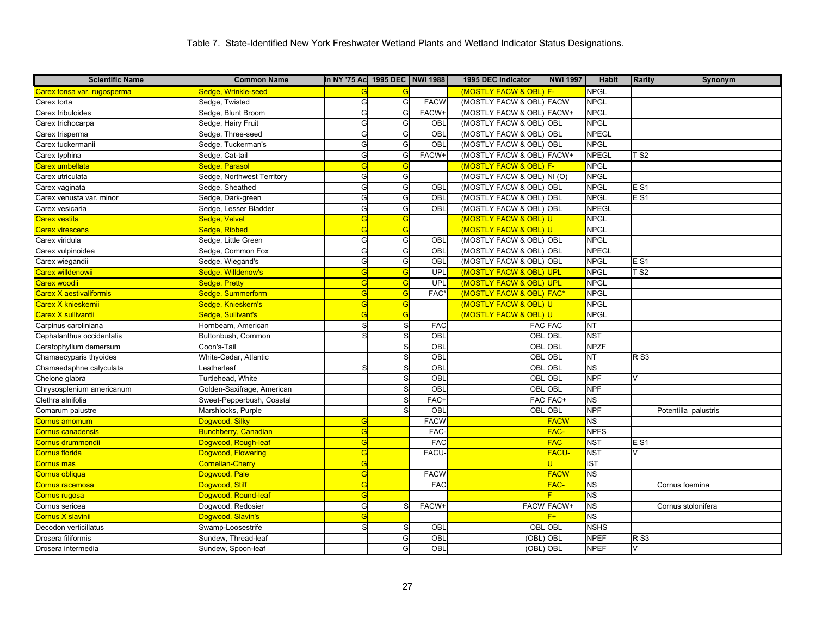| <b>Scientific Name</b>         | <b>Common Name</b>          | In NY '75 Ac 1995 DEC   NWI 1988 |   |             | 1995 DEC Indicator         | <b>NWI 1997</b>   | <b>Habit</b>             | <b>Rarity</b>   | Synonym              |
|--------------------------------|-----------------------------|----------------------------------|---|-------------|----------------------------|-------------------|--------------------------|-----------------|----------------------|
| Carex tonsa var. rugosperma    | Sedge, Wrinkle-seed         |                                  |   |             | (MOSTLY FACW & OBL) F-     |                   | <b>NPGL</b>              |                 |                      |
| Carex torta                    | Sedge, Twisted              | G                                | G | <b>FACW</b> | (MOSTLY FACW & OBL) FACW   |                   | <b>NPGL</b>              |                 |                      |
| Carex tribuloides              | Sedge, Blunt Broom          | G                                | G | FACW+       | (MOSTLY FACW & OBL) FACW+  |                   | <b>NPGL</b>              |                 |                      |
| Carex trichocarpa              | Sedge, Hairy Fruit          | G                                | G | OBL         | (MOSTLY FACW & OBL) OBL    |                   | <b>NPGL</b>              |                 |                      |
| Carex trisperma                | Sedge, Three-seed           | G                                | G | OBL         | (MOSTLY FACW & OBL) OBL    |                   | <b>NPEGL</b>             |                 |                      |
| Carex tuckermanii              | Sedge, Tuckerman's          | G                                | G | OBL         | (MOSTLY FACW & OBL)        | <b>OBL</b>        | <b>NPGL</b>              |                 |                      |
| Carex typhina                  | Sedge, Cat-tail             | G                                | G | FACW+       | (MOSTLY FACW & OBL) FACW+  |                   | <b>NPEGL</b>             | TS2             |                      |
| Carex umbellata                | Sedge, Parasol              | G                                | G |             | (MOSTLY FACW & OBL         |                   | <b>NPGL</b>              |                 |                      |
| Carex utriculata               | Sedge, Northwest Territory  | G                                | G |             | (MOSTLY FACW & OBL) NI (O) |                   | <b>NPGL</b>              |                 |                      |
| Carex vaginata                 | Sedge, Sheathed             | G                                | G | OBL         | (MOSTLY FACW & OBL)        | <b>OBL</b>        | <b>NPGL</b>              | E S1            |                      |
| Carex venusta var. minor       | Sedge, Dark-green           | G                                | G | OBL         | (MOSTLY FACW & OBL) OBL    |                   | <b>NPGL</b>              | <b>ES1</b>      |                      |
| Carex vesicaria                | Sedge, Lesser Bladder       | G                                | G | OBL         | (MOSTLY FACW & OBL) OBL    |                   | <b>NPEGL</b>             |                 |                      |
| Carex vestita                  | Sedge, Velvet               | G                                | G |             | (MOSTLY FACW & OBL)U       |                   | <b>NPGL</b>              |                 |                      |
| <b>Carex virescens</b>         | Sedge, Ribbed               | G                                | G |             | (MOSTLY FACW & OBL)U       |                   | <b>NPGL</b>              |                 |                      |
| Carex viridula                 | Sedge, Little Green         | G                                | G | OBL         | (MOSTLY FACW & OBL) OBL    |                   | <b>NPGL</b>              |                 |                      |
| Carex vulpinoidea              | Sedge, Common Fox           | G                                | G | OBL         | (MOSTLY FACW & OBL) OBL    |                   | <b>NPEGL</b>             |                 |                      |
| Carex wiegandii                | Sedge, Wiegand's            | G                                | G | OBL         | (MOSTLY FACW & OBL) OBL    |                   | <b>NPGL</b>              | E S1            |                      |
| <mark>Carex willdenowii</mark> | Sedge, Willdenow's          | G                                | G | UPL         | (MOSTLY FACW & OBL)        | UPL               | <b>NPGL</b>              | TS2             |                      |
| Carex woodii                   | Sedge, Pretty               | G                                | G | UPL         | (MOSTLY FACW & OBL)        | UPL               | <b>NPGL</b>              |                 |                      |
| Carex X aestivaliformis        | Sedge, Summerform           | G                                | G | FAC*        | (MOSTLY FACW & OBL) FAC*   |                   | <b>NPGL</b>              |                 |                      |
| Carex X knieskernii            | Sedge, Knieskern's          | G                                | G |             | (MOSTLY FACW & OBL)        | U                 | <b>NPGL</b>              |                 |                      |
| Carex X sullivantii            | Sedge, Sullivant's          |                                  | G |             | (MOSTLY FACW & OBL         |                   | <b>NPGL</b>              |                 |                      |
| Carpinus caroliniana           | Hornbeam, American          | S                                | S | <b>FAC</b>  | <b>FAC FAC</b>             |                   | <b>NT</b>                |                 |                      |
| Cephalanthus occidentalis      | Buttonbush, Common          | S                                |   | OBL         | <b>OBLOBL</b>              |                   | <b>NST</b>               |                 |                      |
| Ceratophyllum demersum         | Coon's-Tail                 |                                  | S | OBL         | <b>OBLOBL</b>              |                   | <b>NPZF</b>              |                 |                      |
| Chamaecyparis thyoides         | White-Cedar, Atlantic       |                                  | S | OBL         | OBL OBL                    |                   | <b>NT</b>                | <b>RS3</b>      |                      |
| Chamaedaphne calyculata        | Leatherleaf                 | S                                | S | OBL         | <b>OBLOBL</b>              |                   | $\overline{\text{NS}}$   |                 |                      |
| Chelone glabra                 | Turtlehead, White           |                                  | S | OBL         | OBL                        | <b>OBL</b>        | <b>NPF</b>               | V               |                      |
| Chrysosplenium americanum      | Golden-Saxifrage, American  |                                  |   | OBL         | <b>OBLOBL</b>              |                   | <b>NPF</b>               |                 |                      |
| Clethra alnifolia              | Sweet-Pepperbush, Coastal   |                                  | S | FAC-        |                            | FAC FAC+          | <b>NS</b>                |                 |                      |
| Comarum palustre               | Marshlocks, Purple          |                                  |   | OBL         | OBL                        | OBL               | <b>NPF</b>               |                 | Potentilla palustris |
| Cornus amomum                  | Dogwood, Silky              | G                                |   | <b>FACW</b> |                            | <b>FACW</b>       | ΝS                       |                 |                      |
| Cornus canadensis              | <b>Bunchberry, Canadian</b> | G                                |   | <b>FAC</b>  |                            | FAC-              | <b>NPFS</b>              |                 |                      |
| Cornus drummondii              | Dogwood, Rough-leaf         | G                                |   | <b>FAC</b>  |                            | <b>FAC</b>        | <b>NST</b>               | E <sub>S1</sub> |                      |
| Cornus florida                 | Dogwood, Flowering          | G                                |   | <b>FACU</b> |                            | <b>FACU-</b>      | <b>NST</b>               | $\vee$          |                      |
| Cornus mas                     | Cornelian-Cherry            | G                                |   |             |                            |                   | <b>IST</b>               |                 |                      |
| Cornus obliqua                 | Dogwood, Pale               | G                                |   | <b>FACW</b> |                            | <b>FACW</b>       | <b>NS</b>                |                 |                      |
| Cornus racemosa                | Dogwood, Stiff              | G                                |   | <b>FAC</b>  |                            | FAC-              | <b>NS</b>                |                 | Cornus foemina       |
| <mark>Cornus rugosa</mark>     | Dogwood, Round-leaf         | G                                |   |             |                            |                   | <b>NS</b>                |                 |                      |
| Cornus sericea                 | Dogwood, Redosier           | G                                | S | FACW+       |                            | <b>FACW FACW+</b> | <b>NS</b>                |                 | Cornus stolonifera   |
| Cornus X slavinii              | Dogwood, Slavin's           | $\overline{C}$                   |   |             |                            |                   | $\overline{\mathsf{NS}}$ |                 |                      |
| Decodon verticillatus          | Swamp-Loosestrife           | S                                | S | OBL         | OBL                        | OBL               | <b>NSHS</b>              |                 |                      |
| Drosera filiformis             | Sundew, Thread-leaf         |                                  | G | OBL         | (OBL                       | <b>OBL</b>        | <b>NPEF</b>              | R <sub>S3</sub> |                      |
| Drosera intermedia             | Sundew, Spoon-leaf          |                                  | G | OBL         | (OBL) OBL                  |                   | <b>NPEF</b>              | V               |                      |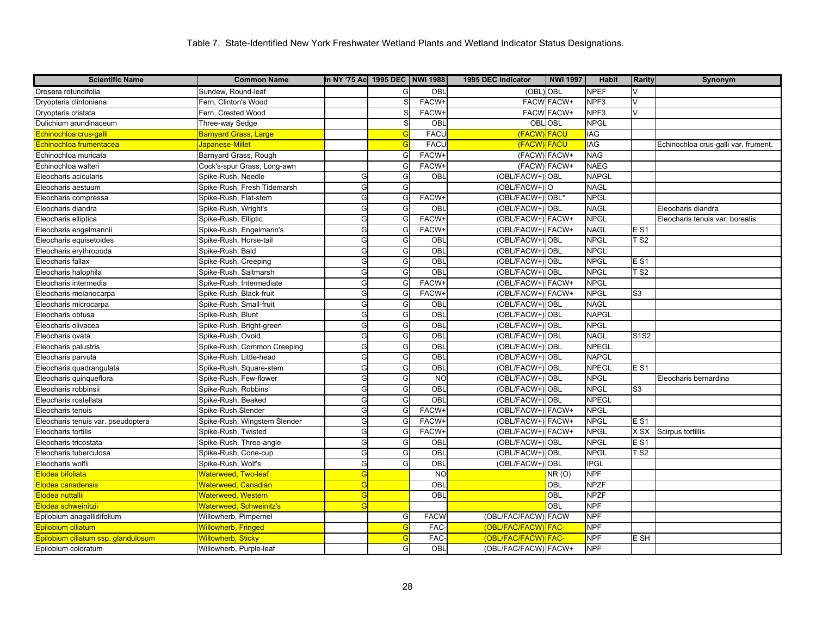| <b>Scientific Name</b>              | <b>Common Name</b>           | In NY '75 Ac  1995 DEC   NWI 1988 |           |                 | 1995 DEC Indicator   | <b>NWI 1997</b> | <b>Habit</b> | <b>Rarity</b>   | Synonym                              |
|-------------------------------------|------------------------------|-----------------------------------|-----------|-----------------|----------------------|-----------------|--------------|-----------------|--------------------------------------|
| Drosera rotundifolia                | Sundew, Round-leaf           |                                   | G         | OBL             | (OBL) OBL            |                 | <b>NPEF</b>  | $\vee$          |                                      |
| Dryopteris clintoniana              | Fern, Clinton's Wood         |                                   |           | <b>FACW-</b>    |                      | FACW FACW+      | NPF3         | V               |                                      |
| Dryopteris cristata                 | Fern, Crested Wood           |                                   |           | <b>FACW-</b>    |                      | FACW FACW+      | NPF3         | V               |                                      |
| Dulichium arundinaceum              | Three-way Sedge              |                                   | S         | OBL             |                      | <b>OBL OBL</b>  | <b>NPGL</b>  |                 |                                      |
| <mark>Echinochloa crus-galli</mark> | Barnyard Grass, Large        |                                   |           | <b>FACL</b>     | (FACW) FACU          |                 | IAG          |                 |                                      |
| Echinochloa frumentacea             | Japanese-Millet              |                                   | G         | <b>FACU</b>     | (FACW) FACU          |                 | <b>IAG</b>   |                 | Echinochloa crus-galli var. frument. |
| Echinochloa muricata                | Barnyard Grass, Rough        |                                   | G         | <b>FACW-</b>    | (FACW) FACW+         |                 | <b>NAG</b>   |                 |                                      |
| Echinochloa walteri                 | Cock's-spur Grass, Long-awn  |                                   |           | <b>FACW</b>     | (FACW) FACW+         |                 | <b>NAEG</b>  |                 |                                      |
| Eleocharis acicularis               | Spike-Rush, Needle           | G                                 | G         | OBL             | (OBL/FACW+) OBL      |                 | <b>NAPGL</b> |                 |                                      |
| Eleocharis aestuum                  | Spike-Rush, Fresh Tidemarsh  | G                                 | G         |                 | (OBL/FACW+)O         |                 | <b>NAGL</b>  |                 |                                      |
| Eleocharis compressa                | Spike-Rush, Flat-stem        | G                                 | G         | FACW+           | (OBL/FACW+) OBL*     |                 | <b>NPGL</b>  |                 |                                      |
| Eleocharis diandra                  | Spike-Rush, Wright's         | G                                 | G         | OBL             | (OBL/FACW+) OBL      |                 | <b>NAGL</b>  |                 | Eleocharis diandra                   |
| Eleocharis elliptica                | Spike-Rush, Elliptic         | G                                 | G         | <b>FACW-</b>    | (OBL/FACW+) FACW+    |                 | <b>NPGL</b>  |                 | Eleocharis tenuis var. borealis      |
| Eleocharis engelmannii              | Spike-Rush, Engelmann's      | G                                 | G         | FACW+           | (OBL/FACW+) FACW+    |                 | <b>NAGL</b>  | <b>ES1</b>      |                                      |
| Eleocharis equisetoides             | Spike-Rush, Horse-tail       | G                                 | G         | OBL             | (OBL/FACW+) OBL      |                 | <b>NPGL</b>  | <b>TS2</b>      |                                      |
| Eleocharis erythropoda              | Spike-Rush, Bald             | G                                 | G         | $\overline{OB}$ | (OBL/FACW+) OBL      |                 | <b>NPGL</b>  |                 |                                      |
| Eleocharis fallax                   | Spike-Rush, Creeping         | G                                 | G         | OBL             | (OBL/FACW+) OBL      |                 | NPGL         | <b>ES1</b>      |                                      |
| Eleocharis halophila                | Spike-Rush, Saltmarsh        | G                                 | G         | OBL             | (OBL/FACW+) OBL      |                 | <b>NPGL</b>  | <b>TS2</b>      |                                      |
| Eleocharis intermedia               | Spike-Rush, Intermediate     | G                                 | G         | <b>FACW</b>     | (OBL/FACW+) FACW+    |                 | <b>NPGL</b>  |                 |                                      |
| Eleocharis melanocarpa              | Spike-Rush, Black-fruit      | G                                 | G         | FACW+           | (OBL/FACW+) FACW+    |                 | <b>NPGL</b>  | S <sub>3</sub>  |                                      |
| Eleocharis microcarpa               | Spike-Rush, Small-fruit      | G                                 | G         | OBL             | (OBL/FACW+) OBL      |                 | <b>NAGL</b>  |                 |                                      |
| Eleocharis obtusa                   | Spike-Rush, Blunt            | G                                 | G         | OBL             | (OBL/FACW+) OBL      |                 | <b>NAPGL</b> |                 |                                      |
| Eleocharis olivacea                 | Spike-Rush, Bright-green     | G                                 | G         | OBL             | (OBL/FACW+) OBL      |                 | <b>NPGL</b>  |                 |                                      |
| Eleocharis ovata                    | Spike-Rush, Ovoid            | G                                 | G         | OBL             | (OBL/FACW+) OBL      |                 | <b>NAGL</b>  | S1S2            |                                      |
| Eleocharis palustris                | Spike-Rush, Common Creeping  | G                                 | G         | OBL             | (OBL/FACW+) OBL      |                 | <b>NPEGL</b> |                 |                                      |
| Eleocharis parvula                  | Spike-Rush, Little-head      | G                                 | G         | OBL             | (OBL/FACW+) OBL      |                 | <b>NAPGL</b> |                 |                                      |
| Eleocharis quadrangulata            | Spike-Rush, Square-stem      | G                                 | G         | OBL             | (OBL/FACW+) OBL      |                 | NPEGL        | E S1            |                                      |
| Eleocharis quinqueflora             | Spike-Rush, Few-flower       | G                                 | G         | <b>NO</b>       | (OBL/FACW+) OBL      |                 | <b>NPGL</b>  |                 | Eleocharis bernardina                |
| Eleocharis robbinsii                | Spike-Rush, Robbins'         | G                                 | G         | OBL             | (OBL/FACW+) OBL      |                 | <b>NPGL</b>  | S <sub>3</sub>  |                                      |
| Eleocharis rostellata               | Spike-Rush, Beaked           | G                                 | G         | OBL             | (OBL/FACW+) OBL      |                 | <b>NPEGL</b> |                 |                                      |
| Eleocharis tenuis                   | Spike-Rush, Slender          | G                                 | G         | FACW+           | (OBL/FACW+) FACW+    |                 | <b>NPGL</b>  |                 |                                      |
| Eleocharis tenuis var. pseudoptera  | Spike-Rush, Wingstem Slender | G                                 | $\subset$ | <b>FACW</b>     | (OBL/FACW+) FACW+    |                 | <b>NPGL</b>  | E S1            |                                      |
| Eleocharis tortilis                 | Spike-Rush, Twisted          | G                                 | G         | <b>FACW</b>     | (OBL/FACW+) FACW+    |                 | <b>NPGL</b>  | X SX            | Scirpus tortillis                    |
| Eleocharis tricostata               | Spike-Rush, Three-angle      | G                                 | G         | <b>OBL</b>      | (OBL/FACW+) OBL      |                 | <b>NPGL</b>  | <b>ES1</b>      |                                      |
| Eleocharis tuberculosa              | Spike-Rush, Cone-cup         | G                                 | G         | OBL             | (OBL/FACW+) OBL      |                 | <b>NPGL</b>  | T <sub>S2</sub> |                                      |
| Eleocharis wolfii                   | Spike-Rush, Wolf's           | G                                 | G         | OBL             | (OBL/FACW+) OBL      |                 | <b>IPGL</b>  |                 |                                      |
| Elodea bifoliata                    | Waterweed, Two-leaf          | G                                 |           | <b>NO</b>       |                      | NR(0)           | <b>NPF</b>   |                 |                                      |
| Elodea canadensis                   | Waterweed, Canadian          | G                                 |           | OBL             |                      | OBL             | <b>NPZF</b>  |                 |                                      |
| Elodea nuttallii                    | Waterweed, Western           | G                                 |           | <b>OBL</b>      |                      | OBL             | <b>NPZF</b>  |                 |                                      |
| Elodea schweinitzii                 | Waterweed, Schweinitz's      | G                                 |           |                 |                      | OBL             | <b>NPF</b>   |                 |                                      |
| Epilobium anagallidifolium          | Willowherb, Pimpernel        |                                   | G         | <b>FACW</b>     | (OBL/FAC/FACW) FACW  |                 | <b>NPF</b>   |                 |                                      |
| Epilobium ciliatum                  | <b>Willowherb, Fringed</b>   |                                   | G         | <b>FAC</b>      | (OBL/FAC/FACW) FAC-  |                 | <b>NPF</b>   |                 |                                      |
| Epilobium ciliatum ssp. glandulosum | <b>Willowherb, Sticky</b>    |                                   | G         | <b>FAC</b>      | (OBL/FAC/FACW) FAC-  |                 | <b>NPF</b>   | E SH            |                                      |
| Epilobium coloratum                 | Willowherb, Purple-leaf      |                                   | G         | <b>OBL</b>      | (OBL/FAC/FACW) FACW+ |                 | <b>NPF</b>   |                 |                                      |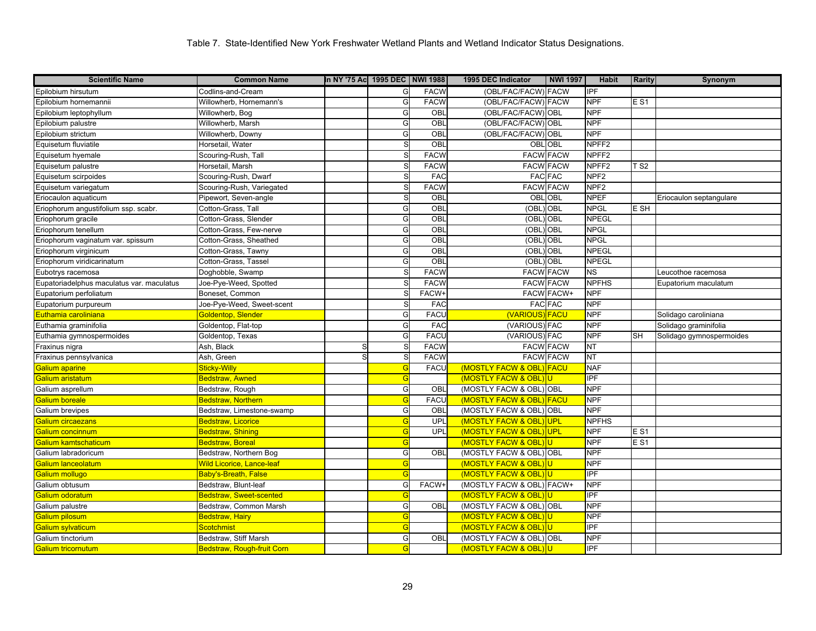| <b>Scientific Name</b>                    | <b>Common Name</b>         | In NY '75 Ac  1995 DEC   NWI 1988 |    |              | 1995 DEC Indicator        | <b>NWI 1997</b>   | <b>Habit</b>      | <b>Rarity</b>   | Synonym                  |
|-------------------------------------------|----------------------------|-----------------------------------|----|--------------|---------------------------|-------------------|-------------------|-----------------|--------------------------|
| Epilobium hirsutum                        | Codlins-and-Cream          |                                   | G  | <b>FACW</b>  | (OBL/FAC/FACW) FACW       |                   | <b>IPF</b>        |                 |                          |
| Epilobium hornemannii                     | Willowherb, Hornemann's    |                                   | G  | <b>FACW</b>  | (OBL/FAC/FACW) FACW       |                   | <b>NPF</b>        | <b>ES1</b>      |                          |
| Epilobium leptophyllum                    | Willowherb, Bog            |                                   | G  | OBL          | (OBL/FAC/FACW) OBL        |                   | <b>NPF</b>        |                 |                          |
| Epilobium palustre                        | Willowherb, Marsh          |                                   | G  | OBL          | (OBL/FAC/FACW) OBL        |                   | <b>NPF</b>        |                 |                          |
| Epilobium strictum                        | Willowherb, Downy          |                                   | G  | OBL          | (OBL/FAC/FACW) OBL        |                   | <b>NPF</b>        |                 |                          |
| Equisetum fluviatile                      | Horsetail, Water           |                                   | S  | OBL          |                           | <b>OBL OBL</b>    | NPFF <sub>2</sub> |                 |                          |
| Equisetum hyemale                         | Scouring-Rush, Tall        |                                   |    | <b>FACW</b>  |                           | <b>FACW FACW</b>  | NPFF <sub>2</sub> |                 |                          |
| Equisetum palustre                        | Horsetail, Marsh           |                                   |    | <b>FACW</b>  |                           | <b>FACW FACW</b>  | NPFF <sub>2</sub> | TS2             |                          |
| Equisetum scirpoides                      | Scouring-Rush, Dwarf       |                                   | S  | FAC          |                           | <b>FAC FAC</b>    | NPF <sub>2</sub>  |                 |                          |
| Equisetum variegatum                      | Scouring-Rush, Variegated  |                                   | S. | <b>FACW</b>  | <b>FACW FACW</b>          |                   | NPF <sub>2</sub>  |                 |                          |
| Eriocaulon aquaticum                      | Pipewort, Seven-angle      |                                   | S  | OBL          | OBL                       | OBL               | <b>NPEF</b>       |                 | Eriocaulon septangulare  |
| Eriophorum angustifolium ssp. scabr.      | Cotton-Grass, Tall         |                                   | G  | OBL          | (OBL) OBL                 |                   | <b>NPGL</b>       | E SH            |                          |
| Eriophorum gracile                        | Cotton-Grass, Slender      |                                   | G  | OBI          | (OBL                      | OBL               | <b>NPEGL</b>      |                 |                          |
| Eriophorum tenellum                       | Cotton-Grass, Few-nerve    |                                   | G  | OBL          | (OBL                      | OBL               | <b>NPGL</b>       |                 |                          |
| Eriophorum vaginatum var. spissum         | Cotton-Grass, Sheathed     |                                   | G  | OBI          | (OBL                      | OBL               | <b>NPGL</b>       |                 |                          |
| Eriophorum virginicum                     | Cotton-Grass, Tawny        |                                   | G  | OBI          | (OBL                      | OBL               | <b>NPEGL</b>      |                 |                          |
| Eriophorum viridicarinatum                | Cotton-Grass, Tassel       |                                   | G  | OBL          | (OBL) OBL                 |                   | <b>NPEGL</b>      |                 |                          |
| Eubotrys racemosa                         | Doghobble, Swamp           |                                   |    | <b>FACW</b>  |                           | <b>FACW FACW</b>  | ΝS                |                 | Leucothoe racemosa       |
| Eupatoriadelphus maculatus var. maculatus | Joe-Pye-Weed, Spotted      |                                   |    | <b>FACW</b>  | <b>FACW FACW</b>          |                   | <b>NPFHS</b>      |                 | Eupatorium maculatum     |
| Eupatorium perfoliatum                    | Boneset, Common            |                                   |    | <b>FACW+</b> |                           | <b>FACW FACW+</b> | <b>NPF</b>        |                 |                          |
| Eupatorium purpureum                      | Joe-Pye-Weed, Sweet-scent  |                                   |    | <b>FAC</b>   |                           | <b>FAC FAC</b>    | <b>NPF</b>        |                 |                          |
| Euthamia caroliniana                      | Goldentop, Slender         |                                   | G  | <b>FACL</b>  | (VARIOUS) FACU            |                   | <b>NPF</b>        |                 | Solidago caroliniana     |
| Euthamia graminifolia                     | Goldentop, Flat-top        |                                   | G  | <b>FAC</b>   | (VARIOUS) FAC             |                   | <b>NPF</b>        |                 | Solidago graminifolia    |
| Euthamia gymnospermoides                  | Goldentop, Texas           |                                   | G  | <b>FACL</b>  | (VARIOUS) FAC             |                   | <b>NPF</b>        | <b>SH</b>       | Solidago gymnospermoides |
| Fraxinus nigra                            | Ash, Black                 | S                                 | S. | <b>FACW</b>  |                           | <b>FACW FACW</b>  | <b>NT</b>         |                 |                          |
| Fraxinus pennsylvanica                    | Ash, Green                 | S                                 | S  | <b>FACW</b>  |                           | <b>FACW FACW</b>  | <b>NT</b>         |                 |                          |
| Galium aparine                            | Sticky-Willy               |                                   | G  | <b>FACU</b>  | (MOSTLY FACW & OBL) FACU  |                   | <b>NAF</b>        |                 |                          |
| Galium aristatum                          | Bedstraw, Awned            |                                   | G  |              | (MOSTLY FACW & OBL)U      |                   | <b>IPF</b>        |                 |                          |
| Galium asprellum                          | Bedstraw, Rough            |                                   | G  | OBL          | (MOSTLY FACW & OBL) OBL   |                   | <b>NPF</b>        |                 |                          |
| Galium boreale                            | Bedstraw, Northern         |                                   | G  | <b>FACU</b>  | (MOSTLY FACW & OBL) FACU  |                   | <b>NPF</b>        |                 |                          |
| Galium brevipes                           | Bedstraw, Limestone-swamp  |                                   | G  | OBL          | (MOSTLY FACW & OBL) OBL   |                   | <b>NPF</b>        |                 |                          |
| Galium circaezans                         | <b>Bedstraw, Licorice</b>  |                                   | G  | UPL          | (MOSTLY FACW & OBL) UPL   |                   | <b>NPFHS</b>      |                 |                          |
| Galium concinnum                          | <b>Bedstraw, Shining</b>   |                                   | G  | UPL          | (MOSTLY FACW & OBL) UPL   |                   | <b>NPF</b>        | E <sub>S1</sub> |                          |
| Galium kamtschaticum                      | Bedstraw, Boreal           |                                   | G  |              | (MOSTLY FACW & OBL)U      |                   | <b>NPF</b>        | <b>ES1</b>      |                          |
| Galium labradoricum                       | Bedstraw, Northern Bog     |                                   | G  | OBL          | (MOSTLY FACW & OBL) OBL   |                   | <b>NPF</b>        |                 |                          |
| Galium lanceolatum                        | Wild Licorice, Lance-leaf  |                                   | G  |              | (MOSTLY FACW & OBL)       |                   | <b>NPF</b>        |                 |                          |
| Galium mollugo                            | Baby's-Breath, False       |                                   | G  |              | (MOSTLY FACW & OBL)U      |                   | IPF               |                 |                          |
| Galium obtusum                            | Bedstraw, Blunt-leaf       |                                   | G  | FACW+        | (MOSTLY FACW & OBL) FACW+ |                   | <b>NPF</b>        |                 |                          |
| Galium odoratum                           | Bedstraw, Sweet-scented    |                                   | G  |              | (MOSTLY FACW & OBL        |                   | IPF               |                 |                          |
| Galium palustre                           | Bedstraw, Common Marsh     |                                   | G  | OBL          | (MOSTLY FACW & OBL) OBL   |                   | <b>NPF</b>        |                 |                          |
| Galium pilosum                            | Bedstraw, Hairy            |                                   | G  |              | (MOSTLY FACW & OBL)U      |                   | <b>NPF</b>        |                 |                          |
| Galium sylvaticum                         | Scotchmist                 |                                   | G  |              | (MOSTLY FACW & OBL)U      |                   | IPF               |                 |                          |
| Galium tinctorium                         | Bedstraw, Stiff Marsh      |                                   | G  | OBL          | (MOSTLY FACW & OBL) OBL   |                   | <b>NPF</b>        |                 |                          |
| <b>Galium tricornutum</b>                 | Bedstraw, Rough-fruit Corn |                                   | G  |              | (MOSTLY FACW & OBL) U     |                   | IPF               |                 |                          |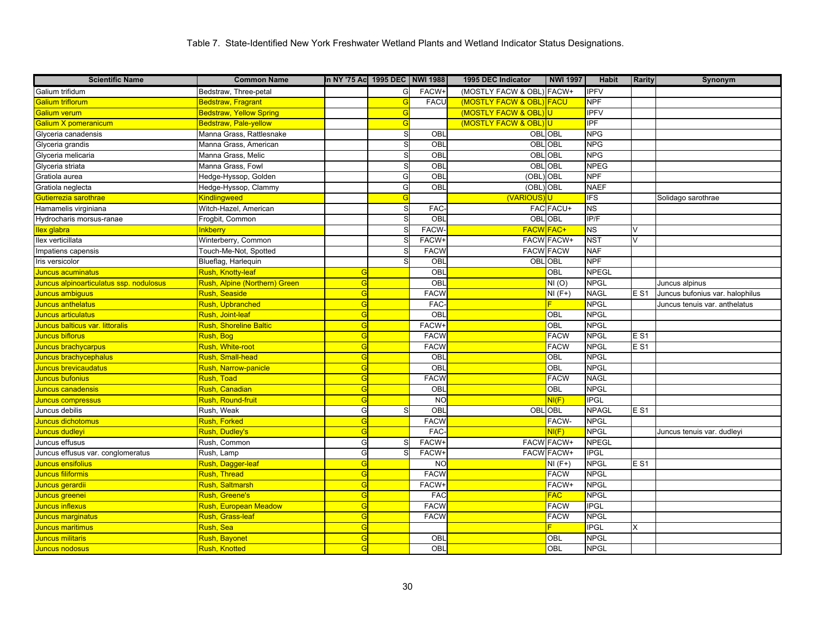| <b>Scientific Name</b>                  | <b>Common Name</b>             | In NY '75 Ac 1995 DEC NWI 1988 |    |              | 1995 DEC Indicator        | <b>NWI 1997</b>   | <b>Habit</b> | <b>Rarity</b> | Synonym                         |
|-----------------------------------------|--------------------------------|--------------------------------|----|--------------|---------------------------|-------------------|--------------|---------------|---------------------------------|
| Galium trifidum                         | Bedstraw, Three-petal          |                                | G  | FACW+        | (MOSTLY FACW & OBL) FACW+ |                   | <b>IPFV</b>  |               |                                 |
| Galium triflorum                        | <b>Bedstraw, Fragrant</b>      |                                | G  | <b>FACU</b>  | (MOSTLY FACW & OBL) FACU  |                   | <b>NPF</b>   |               |                                 |
| Galium verum                            | <b>Bedstraw, Yellow Spring</b> |                                | G  |              | (MOSTLY FACW & OBL) U     |                   | <b>IPFV</b>  |               |                                 |
| Galium X pomeranicum                    | Bedstraw, Pale-yellow          |                                | G  |              | (MOSTLY FACW & OBL) U     |                   | <b>IPF</b>   |               |                                 |
| Glyceria canadensis                     | Manna Grass, Rattlesnake       |                                | S  | OBL          | <b>OBLOBL</b>             |                   | <b>NPG</b>   |               |                                 |
| Glyceria grandis                        | Manna Grass, American          |                                | S  | OBL          | OBL                       | <b>OBL</b>        | <b>NPG</b>   |               |                                 |
| Glyceria melicaria                      | Manna Grass, Melic             |                                | S  | OBL          | OBL                       | <b>OBL</b>        | <b>NPG</b>   |               |                                 |
| Glyceria striata                        | Manna Grass, Fowl              |                                | S  | OBL          | OBL                       | OBL               | <b>NPEG</b>  |               |                                 |
| Gratiola aurea                          | Hedge-Hyssop, Golden           |                                | G  | OBL          | (OBL)                     | <b>OBL</b>        | <b>NPF</b>   |               |                                 |
| Gratiola neglecta                       | Hedge-Hyssop, Clammy           |                                | G  | <b>OBI</b>   | (OBL)                     | <b>OBL</b>        | <b>NAEF</b>  |               |                                 |
| Gutierrezia sarothrae                   | <b>Kindlingweed</b>            |                                | G  |              | <b>(VARIOUS</b>           |                   | <b>IFS</b>   |               | Solidago sarothrae              |
| Hamamelis virginiana                    | Witch-Hazel, American          |                                | S  | <b>FAC</b>   |                           | FAC FACU+         | <b>NS</b>    |               |                                 |
| Hydrocharis morsus-ranae                | Frogbit, Common                |                                | S. | OBI          | <b>OBLOBL</b>             |                   | IP/F         |               |                                 |
| llex glabra                             | <b>Inkberry</b>                |                                | S  | FACW-        | FACW FAC+                 |                   | <b>NS</b>    | V             |                                 |
| llex verticillata                       | Winterberry, Common            |                                |    | <b>FACW</b>  |                           | <b>FACW FACW+</b> | <b>NST</b>   | $\vee$        |                                 |
| Impatiens capensis                      | Touch-Me-Not, Spotted          |                                | S  | <b>FACW</b>  | <b>FACW FACW</b>          |                   | <b>NAF</b>   |               |                                 |
| Iris versicolor                         | Blueflag, Harlequin            |                                | S. | OBL          | OBL OBL                   |                   | <b>NPF</b>   |               |                                 |
| Juncus acuminatus                       | Rush, Knotty-leaf              | G                              |    | OBL          |                           | OBL               | <b>NPEGL</b> |               |                                 |
| Juncus alpinoarticulatus ssp. nodulosus | Rush, Alpine (Northern) Green  | G                              |    | OBL          |                           | NI(0)             | <b>NPGL</b>  |               | Juncus alpinus                  |
| Juncus ambiguus                         | Rush, Seaside                  | G                              |    | <b>FACW</b>  |                           | $NI(F+)$          | <b>NAGL</b>  | E S1          | Juncus bufonius var. halophilus |
| Juncus anthelatus                       | <b>Rush, Upbranched</b>        | G                              |    | <b>FAC</b>   |                           |                   | <b>NPGL</b>  |               | Juncus tenuis var. anthelatus   |
| Juncus articulatus                      | Rush, Joint-leaf               | G                              |    | OBL          |                           | OBL               | <b>NPGL</b>  |               |                                 |
| Juncus balticus var. littoralis         | <b>Rush, Shoreline Baltic</b>  | G                              |    | FACW+        |                           | OBL               | <b>NPGL</b>  |               |                                 |
| Juncus biflorus                         | Rush, Bog                      | G                              |    | <b>FACW</b>  |                           | <b>FACW</b>       | <b>NPGL</b>  | <b>ES1</b>    |                                 |
| Juncus brachycarpus                     | Rush, White-root               | G                              |    | <b>FACW</b>  |                           | <b>FACW</b>       | <b>NPGL</b>  | E S1          |                                 |
| Juncus brachycephalus                   | <b>Rush, Small-head</b>        | G                              |    | OBL          |                           | OBL               | <b>NPGL</b>  |               |                                 |
| Juncus brevicaudatus                    | Rush, Narrow-panicle           | G                              |    | OBI          |                           | OBL               | <b>NPGL</b>  |               |                                 |
| Juncus bufonius                         | Rush, Toad                     | G                              |    | <b>FACW</b>  |                           | <b>FACW</b>       | <b>NAGL</b>  |               |                                 |
| Juncus canadensis                       | Rush, Canadian                 | G                              |    | OBL          |                           | OBL               | <b>NPGL</b>  |               |                                 |
| Juncus compressus                       | <mark>Rush, Round-fruit</mark> | G                              |    | <b>NC</b>    |                           | NI(F)             | <b>IPGL</b>  |               |                                 |
| Juncus debilis                          | Rush, Weak                     | G                              | S. | OBL          | <b>OBLOBL</b>             |                   | <b>NPAGL</b> | <b>ES1</b>    |                                 |
| Juncus dichotomus                       | <b>Rush, Forked</b>            | G                              |    | <b>FACW</b>  |                           | FACW-             | <b>NPGL</b>  |               |                                 |
| Juncus dudleyi                          | Rush, Dudley's                 | G                              |    | <b>FAC</b>   |                           | NI(F)             | <b>NPGL</b>  |               | Juncus tenuis var. dudleyi      |
| Juncus effusus                          | Rush, Common                   | G                              | S. | FACW+        |                           | <b>FACW FACW+</b> | <b>NPEGL</b> |               |                                 |
| Juncus effusus var. conglomeratus       | Rush, Lamp                     | G                              |    | <b>FACW-</b> |                           | <b>FACW FACW+</b> | <b>IPGL</b>  |               |                                 |
| Juncus ensifolius                       | Rush, Dagger-leaf              | G                              |    | <b>NC</b>    |                           | $NI(F+)$          | <b>NPGL</b>  | <b>ES1</b>    |                                 |
| Juncus filiformis                       | Rush, Thread                   | G                              |    | <b>FACW</b>  |                           | <b>FACW</b>       | <b>NPGL</b>  |               |                                 |
| Juncus gerardii                         | <mark>Rush, Saltmarsh</mark>   | G                              |    | <b>FACW+</b> |                           | FACW+             | <b>NPGL</b>  |               |                                 |
| Juncus greenei                          | <b>Rush, Greene's</b>          | G                              |    | <b>FAC</b>   |                           | <b>FAC</b>        | <b>NPGL</b>  |               |                                 |
| Juncus inflexus                         | Rush, European Meadow          | G                              |    | <b>FACW</b>  |                           | <b>FACW</b>       | <b>IPGL</b>  |               |                                 |
| Juncus marginatus                       | Rush, Grass-leaf               | G                              |    | <b>FACW</b>  |                           | <b>FACW</b>       | <b>NPGL</b>  |               |                                 |
| Juncus maritimus                        | <mark>Rush, Sea</mark>         | G                              |    |              |                           |                   | <b>IPGL</b>  | X             |                                 |
| Juncus militaris                        | Rush, Bayonet                  | G                              |    | OBL          |                           | OBL               | <b>NPGL</b>  |               |                                 |
| <b>Juncus nodosus</b>                   | Rush, Knotted                  | G                              |    | OBL          |                           | OBL               | <b>NPGL</b>  |               |                                 |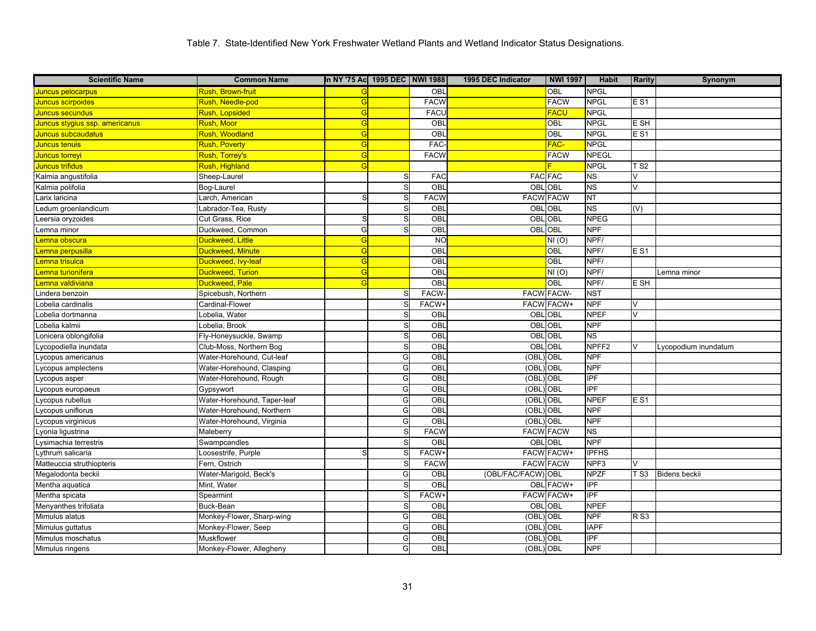| <b>Scientific Name</b>         | <b>Common Name</b>             | In NY '75 Ac 1995 DEC NWI 1988 |    |              | 1995 DEC Indicator | <b>NWI 1997</b>   | <b>Habit</b>      | <b>Rarity</b>           | Synonym              |
|--------------------------------|--------------------------------|--------------------------------|----|--------------|--------------------|-------------------|-------------------|-------------------------|----------------------|
| Juncus pelocarpus              | <mark>Rush, Brown-fruit</mark> |                                |    | OBL          |                    | OBL               | <b>NPGL</b>       |                         |                      |
| <b>Juncus scirpoides</b>       | Rush, Needle-pod               | G                              |    | <b>FACW</b>  |                    | <b>FACW</b>       | <b>NPGL</b>       | $E$ S <sub>1</sub>      |                      |
| Juncus secundus                | Rush, Lopsided                 | G                              |    | <b>FACU</b>  |                    | <b>FACU</b>       | <b>NPGL</b>       |                         |                      |
| Juncus stygius ssp. americanus | Rush, Moor                     | G                              |    | OBL          |                    | OBL               | <b>NPGL</b>       | E SH                    |                      |
| Juncus subcaudatus             | Rush, Woodland                 | G                              |    | OBL          |                    | OBL               | <b>NPGL</b>       | $E$ S1                  |                      |
| Juncus tenuis                  | Rush, Poverty                  | G                              |    | <b>FAC</b>   |                    | FAC-              | <b>NPGL</b>       |                         |                      |
| Juncus torreyi                 | Rush, Torrey's                 | G                              |    | <b>FACW</b>  |                    | <b>FACW</b>       | <b>NPEGL</b>      |                         |                      |
| Juncus trifidus                | Rush, Highland                 | G                              |    |              |                    |                   | <b>NPGL</b>       | T S2                    |                      |
| Kalmia angustifolia            | Sheep-Laurel                   |                                | S  | FAC          | <b>FAC FAC</b>     |                   | <b>NS</b>         | V                       |                      |
| Kalmia polifolia               | Bog-Laurel                     |                                | S  | <b>OBI</b>   | OBL                | OBL               | <b>NS</b>         | $\vee$                  |                      |
| arix laricina                  | Larch, American                | S                              | S  | <b>FACW</b>  | <b>FACW FACW</b>   |                   | <b>NT</b>         |                         |                      |
| edum groenlandicum             | Labrador-Tea, Rusty            |                                | S. | OBI          |                    | OBL OBL           | <b>NS</b>         | (V)                     |                      |
| eersia oryzoides               | Cut Grass, Rice                | S                              | S  | OBI          | OBL                | OBL               | <b>NPEG</b>       |                         |                      |
| emna minor                     | Duckweed, Common               | G                              | S  | OBL          | <b>OBLOBL</b>      |                   | <b>NPF</b>        |                         |                      |
| emna obscura                   | Duckweed, Little               | G                              |    | <b>NC</b>    |                    | NI(0)             | NPF/              |                         |                      |
| emna perpusilla                | Duckweed, Minute               | G                              |    | OBL          |                    | OBL               | NPF/              | $E$ S <sub>1</sub>      |                      |
| emna trisulca                  | Duckweed, Ivy-leaf             | G                              |    | OBL          |                    | OBL               | NPF/              |                         |                      |
| emna turionifera               | Duckweed, Turion               | G                              |    | OBL          |                    | NI(0)             | NPF/              |                         | Lemna minor          |
| emna valdiviana.               | Duckweed, Pale                 |                                |    | OBL          |                    | OBL               | NPF/              | E SH                    |                      |
| indera benzoin                 | Spicebush, Northern            |                                | S  | FACW-        |                    | <b>FACW FACW-</b> | <b>NST</b>        |                         |                      |
| obelia cardinalis              | Cardinal-Flower                |                                | S  | FACW-        |                    | <b>FACW FACW+</b> | <b>NPF</b>        | $\vee$                  |                      |
| obelia dortmanna               | Lobelia, Water                 |                                | S  | OBL          | OBL                | <b>OBL</b>        | <b>NPEF</b>       | V                       |                      |
| obelia kalmii                  | _obelia, Brook                 |                                | S  | OBL          | OBL                | OBL               | <b>NPF</b>        |                         |                      |
| onicera oblongifolia           | Fly-Honeysuckle, Swamp         |                                | S. | OBL          | <b>OBLOBL</b>      |                   | <b>NS</b>         |                         |                      |
| vcopodiella inundata           | Club-Moss, Northern Bog        |                                | S  | OBL          | OBL                | OBL               | NPFF <sub>2</sub> | $\overline{\mathsf{v}}$ | vcopodium inundatum  |
| ycopus americanus              | Water-Horehound, Cut-leaf      |                                | G  | OBL          | (OBL) OBL          |                   | <b>NPF</b>        |                         |                      |
| ycopus amplectens              | Water-Horehound, Clasping      |                                | G  | <b>OBI</b>   | (OBL               | <b>OBL</b>        | <b>NPF</b>        |                         |                      |
| ycopus asper                   | Water-Horehound, Rough         |                                | G  | OBL          | (OBL               | OBL               | <b>IPF</b>        |                         |                      |
| ycopus europaeus               | Gypsywort                      |                                | G  | OBI          | (OBL)              | <b>OBL</b>        | <b>IPF</b>        |                         |                      |
| vcopus rubellus                | Water-Horehound, Taper-leaf    |                                | G  | OBI          | (OBL               | OBL               | <b>NPEF</b>       | $E$ S1                  |                      |
| ycopus uniflorus               | Water-Horehound, Northern      |                                | G  | OBL          | (OBL) OBL          |                   | <b>NPF</b>        |                         |                      |
| vcopus virginicus              | Water-Horehound, Virginia      |                                | G  | <b>OBI</b>   | (OBL               | OBL               | <b>NPF</b>        |                         |                      |
| vonia ligustrina               | Maleberry                      |                                | S  | <b>FACW</b>  | <b>FACW FACW</b>   |                   | NS                |                         |                      |
| ysimachia terrestris           | Swampcandles                   |                                | S  | OBI          | OBL OBL            |                   | <b>NPF</b>        |                         |                      |
| vthrum salicaria               | _oosestrife, Purple            | S                              |    | <b>FACW</b>  |                    | <b>FACW FACW+</b> | <b>IPFHS</b>      |                         |                      |
| Matteuccia struthiopteris      | Fern, Ostrich                  |                                | S  | <b>FACW</b>  | <b>FACW FACW</b>   |                   | NPF3              | $\vee$                  |                      |
| Megalodonta beckii             | Water-Marigold, Beck's         |                                | G  | OBL          | (OBL/FAC/FACW) OBL |                   | <b>NPZF</b>       | TS3                     | <b>Bidens beckii</b> |
| Mentha aquatica                | Mint, Water                    |                                | S. | OBI          |                    | OBL FACW+         | <b>IPF</b>        |                         |                      |
| Mentha spicata                 | Spearmint                      |                                | S  | <b>FACW-</b> |                    | FACW FACW+        | <b>IPF</b>        |                         |                      |
| Menyanthes trifoliata          | Buck-Bean                      |                                | S  | OBI          | OBL                | OBL               | <b>NPEF</b>       |                         |                      |
| Mimulus alatus                 | Monkey-Flower, Sharp-wing      |                                | G  | OBI          | (OBL               | OBL               | <b>NPF</b>        | <b>RS3</b>              |                      |
| Mimulus guttatus               | Monkey-Flower, Seep            |                                | G  | OBL          | (OBL               | OBL               | <b>IAPF</b>       |                         |                      |
| Mimulus moschatus              | Muskflower                     |                                | G  | OBI          | (OBL               | OBL               | IPF               |                         |                      |
| Mimulus ringens                | Monkey-Flower, Allegheny       |                                | G  | OBL          | (OBL) OBL          |                   | <b>NPF</b>        |                         |                      |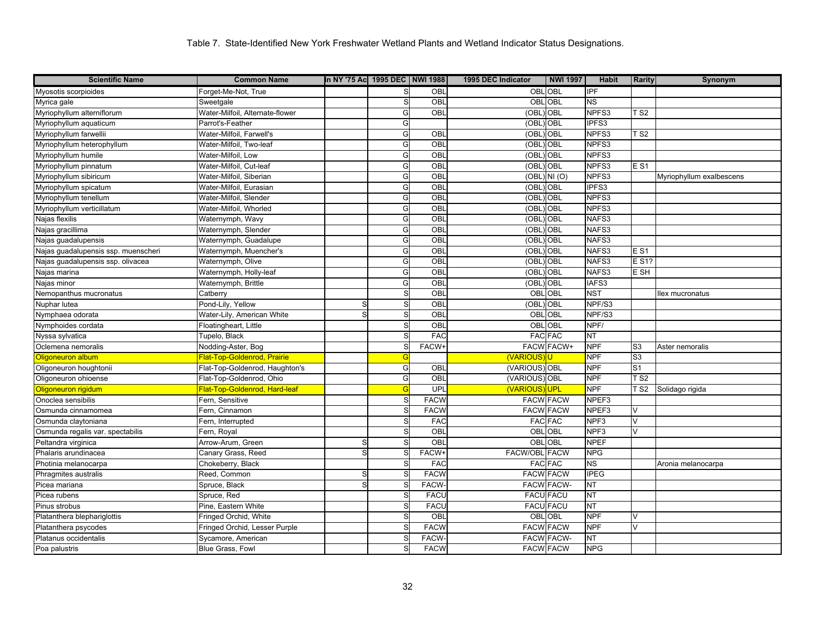| <b>Scientific Name</b>              | <b>Common Name</b>              | In NY '75 Ac 1995 DEC NWI 1988 |            |                 | 1995 DEC Indicator   | <b>NWI 1997</b>   | <b>Habit</b>     | <b>Rarity</b>   | Synonym                  |
|-------------------------------------|---------------------------------|--------------------------------|------------|-----------------|----------------------|-------------------|------------------|-----------------|--------------------------|
| Myosotis scorpioides                | Forget-Me-Not, True             |                                |            | OBL             | <b>OBL OBL</b>       |                   | <b>IPF</b>       |                 |                          |
| Myrica gale                         | Sweetgale                       |                                | S          | OBL             | OBL                  | OBL               | <b>NS</b>        |                 |                          |
| Myriophyllum alterniflorum          | Water-Milfoil, Alternate-flower |                                | G          | OBL             | (OBL)                | OBL               | NPFS3            | T <sub>S2</sub> |                          |
| Myriophyllum aquaticum              | Parrot's-Feather                |                                | G          |                 | (OBL                 | OBL               | IPFS3            |                 |                          |
| Myriophyllum farwellii              | Water-Milfoil, Farwell's        |                                | G          | OBL             | (OBL                 | OBL               | NPFS3            | T S2            |                          |
| Myriophyllum heterophyllum          | Water-Milfoil, Two-leaf         |                                | G          | OBL             | (OBL                 | OBL               | NPFS3            |                 |                          |
| Myriophyllum humile                 | Water-Milfoil, Low              |                                | G          | OBL             | (OBL                 | OBL               | NPFS3            |                 |                          |
| Myriophyllum pinnatum               | Water-Milfoil, Cut-leaf         |                                | G          | OBL             | (OBL                 | OBL               | NPFS3            | <b>ES1</b>      |                          |
| Myriophyllum sibiricum              | Water-Milfoil, Siberian         |                                | G          | $\overline{OB}$ | (OBL                 | NI(0)             | NPFS3            |                 | Myriophyllum exalbescens |
| Myriophyllum spicatum               | Water-Milfoil, Eurasian         |                                | G          | OBL             | (OBL                 | OBL               | IPFS3            |                 |                          |
| Myriophyllum tenellum               | Water-Milfoil, Slender          |                                | G          | OBL             | (OBL                 | OBL               | NPFS3            |                 |                          |
| Myriophyllum verticillatum          | Water-Milfoil, Whorled          |                                | G          | OBL             | (OBL                 | <b>OBL</b>        | NPFS3            |                 |                          |
| Najas flexilis                      | Waternymph, Wavy                |                                | G          | OBI             | (OBL                 | OBL               | NAFS3            |                 |                          |
| Najas gracillima                    | Waternymph, Slender             |                                | G          | OBL             | (OBL                 | OBL               | NAFS3            |                 |                          |
| Najas guadalupensis                 | Waternymph, Guadalupe           |                                | G          | OBI             | (OBL                 | OBL               | NAFS3            |                 |                          |
| Najas guadalupensis ssp. muenscheri | Waternymph, Muencher's          |                                | G          | OBI             | (OBL                 | OBL               | NAFS3            | <b>ES1</b>      |                          |
| Najas guadalupensis ssp. olivacea   | Waternymph, Olive               |                                | G          | OBL             | (OBL                 | OBL               | NAFS3            | E S1?           |                          |
| Najas marina                        | Waternymph, Holly-leaf          |                                | G          | OBL             | (OBL                 | OBL               | NAFS3            | E SH            |                          |
| Najas minor                         | Waternymph, Brittle             |                                | G          | OBL             | (OBL                 | OBL               | IAFS3            |                 |                          |
| Nemopanthus mucronatus              | Catberry                        |                                | S          | OBL             | OBL                  | <b>OBL</b>        | <b>NST</b>       |                 | llex mucronatus          |
| Nuphar lutea                        | Pond-Lily, Yellow               | S                              |            | OBL             | (OBL                 | OBL               | NPF/S3           |                 |                          |
| Nymphaea odorata                    | Water-Lily, American White      | S                              | S          | OBL             | OBL                  | <b>OBL</b>        | NPF/S3           |                 |                          |
| Nymphoides cordata                  | Floatingheart, Little           |                                | S          | OBI             |                      | <b>OBLOBL</b>     | NPF/             |                 |                          |
| Nyssa sylvatica                     | Tupelo, Black                   |                                |            | FAC             |                      | <b>FAC FAC</b>    | <b>NT</b>        |                 |                          |
| Oclemena nemoralis                  | Nodding-Aster, Bog              |                                |            | <b>FACW-</b>    |                      | <b>FACW FACW+</b> | <b>NPF</b>       | S <sub>3</sub>  | Aster nemoralis          |
| Oligoneuron album                   | Flat-Top-Goldenrod, Prairie     |                                | $\epsilon$ |                 | <b>(VARIOUS</b>      |                   | <b>NPF</b>       | S <sub>3</sub>  |                          |
| Oligoneuron houghtonii              | Flat-Top-Goldenrod, Haughton's  |                                | G          | $\overline{OB}$ | (VARIOUS) OBL        |                   | <b>NPF</b>       | S <sub>1</sub>  |                          |
| Oligoneuron ohioense                | Flat-Top-Goldenrod, Ohio        |                                | G          | OBL             | (VARIOUS) OBL        |                   | <b>NPF</b>       | T <sub>S2</sub> |                          |
| <b>Oligoneuron rigidum</b>          | Flat-Top-Goldenrod, Hard-leaf   |                                |            | UPL             | <b>(VARIOUS)</b>     | <b>UPL</b>        | <b>NPF</b>       | $\overline{S}$  | Solidago rigida          |
| Onoclea sensibilis                  | Fern, Sensitive                 |                                | S          | <b>FACW</b>     | <b>FACW FACW</b>     |                   | NPEF3            |                 |                          |
| Osmunda cinnamomea                  | Fern, Cinnamon                  |                                | S          | <b>FACW</b>     | <b>FACW FACW</b>     |                   | NPEF3            | V               |                          |
| Osmunda claytoniana                 | Fern, Interrupted               |                                |            | <b>FAC</b>      |                      | <b>FAC FAC</b>    | NPF3             | $\vee$          |                          |
| Osmunda regalis var. spectabilis    | Fern, Royal                     |                                | S          | OBI             | OBL                  | <b>OBL</b>        | NPF <sub>3</sub> | $\vee$          |                          |
| Peltandra virginica                 | Arrow-Arum, Green               | S                              |            | OBL             | <b>OBLOBL</b>        |                   | <b>NPEF</b>      |                 |                          |
| Phalaris arundinacea                | Canary Grass, Reed              | S                              |            | <b>FACW</b>     | <b>FACW/OBL FACW</b> |                   | <b>NPG</b>       |                 |                          |
| Photinia melanocarpa                | Chokeberry, Black               |                                | S          | <b>FAC</b>      |                      | <b>FAC FAC</b>    | ΝS               |                 | Aronia melanocarpa       |
| Phragmites australis                | Reed, Common                    | S                              |            | <b>FACW</b>     | <b>FACW FACW</b>     |                   | <b>IPEG</b>      |                 |                          |
| Picea mariana                       | Spruce, Black                   | S                              |            | <b>FACW</b>     |                      | <b>FACW FACW-</b> | <b>NT</b>        |                 |                          |
| Picea rubens                        | Spruce, Red                     |                                | S          | <b>FACI</b>     | <b>FACU FACU</b>     |                   | <b>TN</b>        |                 |                          |
| Pinus strobus                       | Pine, Eastern White             |                                | S          | FACI            |                      | <b>FACU FACU</b>  | N <sub>T</sub>   |                 |                          |
| Platanthera blephariglottis         | Fringed Orchid, White           |                                |            | OBI             |                      | <b>OBLOBL</b>     | <b>NPF</b>       | $\vee$          |                          |
| Platanthera psycodes                | Fringed Orchid, Lesser Purple   |                                | S          | <b>FACW</b>     | <b>FACW FACW</b>     |                   | <b>NPF</b>       | $\vee$          |                          |
| Platanus occidentalis               | Sycamore, American              |                                |            | <b>FACW</b>     |                      | <b>FACW FACW-</b> | <b>TN</b>        |                 |                          |
| Poa palustris                       | Blue Grass, Fowl                |                                |            | <b>FACW</b>     | <b>FACW FACW</b>     |                   | <b>NPG</b>       |                 |                          |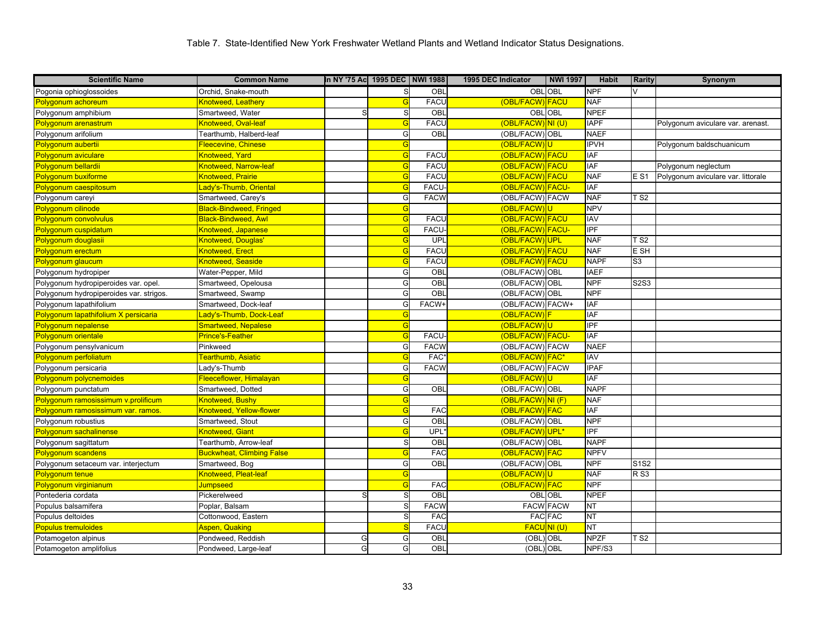| <b>Scientific Name</b>                  | <b>Common Name</b>               | In NY '75 Ac  1995 DEC   NWI 1988 |   |              | 1995 DEC Indicator    | <b>NWI 1997</b>  | <b>Habit</b>     | <b>Rarity</b>   | Synonym                            |
|-----------------------------------------|----------------------------------|-----------------------------------|---|--------------|-----------------------|------------------|------------------|-----------------|------------------------------------|
| Pogonia ophioglossoides                 | Orchid, Snake-mouth              |                                   | S | OBL          |                       | OBL OBL          | <b>NPF</b>       | V               |                                    |
| Polygonum achoreum                      | Knotweed, Leathery               |                                   | G | <b>FACU</b>  | (OBL/FACW) FACU       |                  | <b>NAF</b>       |                 |                                    |
| Polygonum amphibium                     | Smartweed, Water                 | S                                 | S | OBL          |                       | OBL OBL          | <b>NPEF</b>      |                 |                                    |
| Polygonum arenastrum                    | Knotweed, Oval-leaf              |                                   | G | <b>FACL</b>  | (OBL/FACW) NI (U)     |                  | <b>IAPF</b>      |                 | Polygonum aviculare var. arenast.  |
| Polygonum arifolium                     | Tearthumb, Halberd-leaf          |                                   | G | OBL          | (OBL/FACW) OBL        |                  | <b>NAEF</b>      |                 |                                    |
| Polygonum aubertii                      | Fleecevine, Chinese              |                                   | G |              | (OBL/FACW)U           |                  | <b>IPVH</b>      |                 | Polygonum baldschuanicum           |
| Polygonum aviculare                     | <b>Knotweed, Yard</b>            |                                   | G | <b>FACL</b>  | (OBL/FACW)FACU        |                  | <b>IAF</b>       |                 |                                    |
| Polygonum bellardii                     | Knotweed, Narrow-leaf            |                                   | G | <b>FACL</b>  | (OBL/FACW) FACU       |                  | <b>IAF</b>       |                 | Polygonum neglectum                |
| Polygonum buxiforme                     | Knotweed, Prairie                |                                   | G | <b>FACL</b>  | (OBL/FACW) FACU       |                  | <b>NAF</b>       | E S1            | Polygonum aviculare var. littorale |
| Polygonum caespitosum                   | Lady's-Thumb, Oriental           |                                   | G | <b>FACU</b>  | (OBL/FACW) FACU-      |                  | <b>IAF</b>       |                 |                                    |
| Polygonum careyi                        | Smartweed, Carey's               |                                   | G | <b>FACW</b>  | (OBL/FACW) FACW       |                  | <b>NAF</b>       | T S2            |                                    |
| Polygonum cilinode                      | <b>Black-Bindweed, Fringed</b>   |                                   | G |              | (OBL/FACW)U           |                  | <b>NPV</b>       |                 |                                    |
| Polygonum convolvulus                   | <b>Black-Bindweed, Awl</b>       |                                   | G | <b>FACU</b>  | (OBL/FACW)FACU        |                  | <b>IAV</b>       |                 |                                    |
| Polygonum cuspidatum                    | Knotweed, Japanese               |                                   | G | <b>FACU</b>  | (OBL/FACW) FACU-      |                  | $\overline{IPF}$ |                 |                                    |
| Polygonum douglasii                     | Knotweed, Douglas'               |                                   | G | UPL          | (OBL/FACW)UPL         |                  | <b>NAF</b>       | T S2            |                                    |
| Polygonum erectum                       | <b>Knotweed, Erect</b>           |                                   | G | <b>FACU</b>  | (OBL/FACW) FACU       |                  | <b>NAF</b>       | E SH            |                                    |
| Polygonum glaucum                       | Knotweed, Seaside                |                                   | G | <b>FACU</b>  | (OBL/FACW) FACU       |                  | <b>NAPF</b>      | S <sub>3</sub>  |                                    |
| Polygonum hydropiper                    | Water-Pepper, Mild               |                                   | G | OBL          | (OBL/FACW) OBL        |                  | <b>IAEF</b>      |                 |                                    |
| Polygonum hydropiperoides var. opel.    | Smartweed, Opelousa              |                                   | G | OBL          | (OBL/FACW) OBL        |                  | <b>NPF</b>       | S2S3            |                                    |
| Polygonum hydropiperoides var. strigos. | Smartweed, Swamp                 |                                   | G | OBL          | (OBL/FACW) OBL        |                  | <b>NPF</b>       |                 |                                    |
| Polygonum lapathifolium                 | Smartweed, Dock-leaf             |                                   | G | <b>FACW-</b> | (OBL/FACW) FACW+      |                  | <b>IAF</b>       |                 |                                    |
| Polygonum lapathifolium X persicaria    | ady's-Thumb, Dock-Leaf_          |                                   | G |              | (OBL/FACW)F           |                  | <b>IAF</b>       |                 |                                    |
| Polygonum nepalense                     | Smartweed, Nepalese              |                                   | G |              | (OBL/FACW)U           |                  | <b>IPF</b>       |                 |                                    |
| Polygonum orientale                     | Prince's-Feather                 |                                   | G | <b>FACU</b>  | (OBL/FACW) FACU-      |                  | <b>IAF</b>       |                 |                                    |
| Polygonum pensylvanicum                 | Pinkweed                         |                                   | G | <b>FACW</b>  | (OBL/FACW) FACW       |                  | <b>NAEF</b>      |                 |                                    |
| Polygonum perfoliatum                   | Tearthumb, Asiatic               |                                   | G | <b>FAC</b>   | (OBL/FACW) FAC*       |                  | IAV              |                 |                                    |
| Polygonum persicaria                    | _ady's-Thumb                     |                                   | G | <b>FACW</b>  | (OBL/FACW) FACW       |                  | <b>IPAF</b>      |                 |                                    |
| Polygonum polycnemoides                 | Fleeceflower, Himalayan          |                                   | G |              | (OBL/FACW)U           |                  | <b>IAF</b>       |                 |                                    |
| Polygonum punctatum                     | Smartweed, Dotted                |                                   | G | OBL          | (OBL/FACW) OBL        |                  | <b>NAPF</b>      |                 |                                    |
| Polygonum ramosissimum v.prolificum     | <b>Knotweed, Bushy</b>           |                                   | G |              | $(OBL/FACW)$ NI $(F)$ |                  | <b>NAF</b>       |                 |                                    |
| Polygonum ramosissimum var. ramos.      | Knotweed, Yellow-flower          |                                   | G | <b>FAC</b>   | (OBL/FACW) FAC        |                  | <b>IAF</b>       |                 |                                    |
| Polygonum robustius                     | Smartweed, Stout                 |                                   | G | <b>OBI</b>   | (OBL/FACW) OBL        |                  | <b>NPF</b>       |                 |                                    |
| Polygonum sachalinense                  | Knotweed, Giant                  |                                   | G | UPL          | (OBL/FACW)UPL*        |                  | IPF              |                 |                                    |
| Polygonum sagittatum                    | Tearthumb, Arrow-leaf            |                                   | S | <b>OBL</b>   | (OBL/FACW) OBL        |                  | <b>NAPF</b>      |                 |                                    |
| Polygonum scandens                      | <b>Buckwheat, Climbing False</b> |                                   | G | <b>FAC</b>   | (OBL/FACW) FAC        |                  | <b>NPFV</b>      |                 |                                    |
| Polygonum setaceum var. interjectum     | Smartweed, Bog                   |                                   | G | <b>OBL</b>   | (OBL/FACW) OBL        |                  | <b>NPF</b>       | S1S2            |                                    |
| Polygonum tenue                         | Knotweed, Pleat-leaf             |                                   | G |              | (OBL/FACW)U           |                  | <b>NAF</b>       | R <sub>S3</sub> |                                    |
| Polygonum virginianum                   | <b>Jumpseed</b>                  |                                   | G | <b>FAC</b>   | (OBL/FACW)FAC         |                  | <b>NPF</b>       |                 |                                    |
| Pontederia cordata                      | Pickerelweed                     | S                                 | S | OBL          |                       | OBL OBL          | <b>NPEF</b>      |                 |                                    |
| Populus balsamifera                     | Poplar, Balsam                   |                                   | S | <b>FACW</b>  |                       | <b>FACW FACW</b> | <b>NT</b>        |                 |                                    |
| Populus deltoides                       | Cottonwood, Eastern              |                                   | S | <b>FAC</b>   |                       | <b>FAC FAC</b>   | <b>NT</b>        |                 |                                    |
| <b>Populus tremuloides</b>              | Aspen, Quaking                   |                                   |   | <b>FACL</b>  |                       | FACUNI(U)        | NΤ               |                 |                                    |
| Potamogeton alpinus                     | Pondweed, Reddish                | G                                 | G | OBL          | (OBL) OBL             |                  | <b>NPZF</b>      | TS2             |                                    |
| Potamogeton amplifolius                 | Pondweed, Large-leaf             | G                                 | G | OBL          | (OBL) OBL             |                  | NPF/S3           |                 |                                    |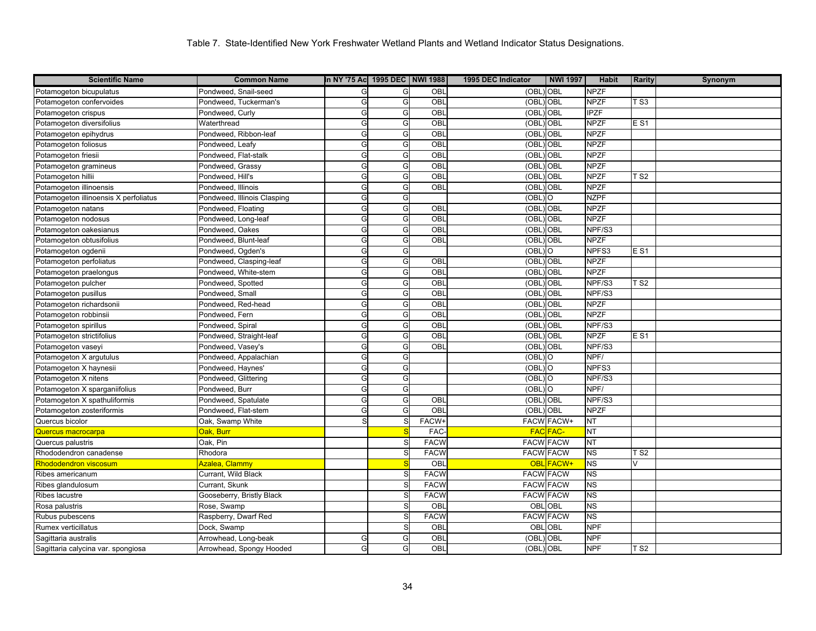| <b>Scientific Name</b>                | <b>Common Name</b>          | In NY '75 Ac 1995 DEC NWI 1988 |   |              | 1995 DEC Indicator   | <b>NWI 1997</b>   | <b>Habit</b> | <b>Rarity</b>   | Synonym |
|---------------------------------------|-----------------------------|--------------------------------|---|--------------|----------------------|-------------------|--------------|-----------------|---------|
| Potamogeton bicupulatus               | Pondweed, Snail-seed        | G                              | G | <b>OBL</b>   | (OBL) OBL            |                   | <b>NPZF</b>  |                 |         |
| Potamogeton confervoides              | Pondweed, Tuckerman's       | G                              | G | OBL          | (OBL)                | OBL               | <b>NPZF</b>  | TS3             |         |
| Potamogeton crispus                   | Pondweed, Curly             | G                              | G | OBL          | (OBL                 | <b>OBL</b>        | <b>IPZF</b>  |                 |         |
| Potamogeton diversifolius             | Waterthread                 | G                              | G | OBL          | (OBL                 | <b>OBL</b>        | <b>NPZF</b>  | E S1            |         |
| Potamogeton epihydrus                 | Pondweed, Ribbon-leaf       | G                              | G | OBL          | (OBL                 | OBL               | <b>NPZF</b>  |                 |         |
| Potamogeton foliosus                  | Pondweed, Leafy             | G                              | G | OBL          | (OBL                 | <b>OBL</b>        | <b>NPZF</b>  |                 |         |
| Potamogeton friesii                   | Pondweed, Flat-stalk        | G                              | G | OBL          | (OBL                 | <b>OBL</b>        | <b>NPZF</b>  |                 |         |
| Potamogeton gramineus                 | Pondweed, Grassy            | G                              | G | OBL          | (OBI                 | OBL               | <b>NPZF</b>  |                 |         |
| Potamogeton hillii                    | Pondweed, Hill's            | G                              | G | OBL          | (OBL                 | <b>OBL</b>        | <b>NPZF</b>  | <b>TS2</b>      |         |
| Potamogeton illinoensis               | Pondweed, Illinois          | G                              | G | OBL          | (OBL                 | <b>OBL</b>        | <b>NPZF</b>  |                 |         |
| Potamogeton illinoensis X perfoliatus | Pondweed, Illinois Clasping | G                              | G |              | (OBL                 | $\circ$           | <b>NZPF</b>  |                 |         |
| Potamogeton natans                    | Pondweed, Floating          | G                              | G | OBL          | (OBL                 | )OBL              | <b>NPZF</b>  |                 |         |
| Potamogeton nodosus                   | Pondweed, Long-leaf         | G                              | G | OBL          | (OBI                 | <b>OBL</b>        | <b>NPZF</b>  |                 |         |
| Potamogeton oakesianus                | Pondweed, Oakes             | G                              | G | OBL          | (OBL                 | <b>OBL</b>        | NPF/S3       |                 |         |
| Potamogeton obtusifolius              | Pondweed, Blunt-leaf        | G                              | G | OBL          | (OBL                 | <b>OBL</b>        | <b>NPZF</b>  |                 |         |
| Potamogeton ogdenii                   | Pondweed, Ogden's           | G                              | G |              | (OBL                 | $\circ$           | NPFS3        | E <sub>S1</sub> |         |
| Potamogeton perfoliatus               | Pondweed, Clasping-leaf     | G                              | G | OBL          | $(OBL)$ OBL          |                   | <b>NPZF</b>  |                 |         |
| Potamogeton praelongus                | Pondweed, White-stem        | G                              | G | OBL          | (OBL                 | <b>OBL</b>        | <b>NPZF</b>  |                 |         |
| Potamogeton pulcher                   | Pondweed, Spotted           | G                              | G | OBL          | (OBL                 | OBL               | NPF/S3       | TS2             |         |
| Potamogeton pusillus                  | Pondweed, Small             | G                              | G | OBL          | (OBL)                | <b>OBL</b>        | NPF/S3       |                 |         |
| Potamogeton richardsonii              | Pondweed, Red-head          | G                              | G | OBL          | (OBL                 | <b>OBL</b>        | <b>NPZF</b>  |                 |         |
| Potamogeton robbinsii                 | Pondweed, Fern              | G                              | G | OBL          | (OBL                 | OBL               | <b>NPZF</b>  |                 |         |
| Potamogeton spirillus                 | Pondweed, Spiral            | G                              | G | OBL          | (OBL                 | OBL               | NPF/S3       |                 |         |
| Potamogeton strictifolius             | Pondweed, Straight-leaf     | G                              | G | OBL          | (OBL                 | <b>OBL</b>        | <b>NPZF</b>  | E S1            |         |
| Potamogeton vaseyi                    | Pondweed, Vasey's           | G                              | G | OBL          | (OBL                 | <b>OBL</b>        | NPF/S3       |                 |         |
| Potamogeton X argutulus               | Pondweed, Appalachian       | G                              | G |              | (OBL                 | lO.               | NPF/         |                 |         |
| Potamogeton X haynesii                | Pondweed, Haynes'           | G                              | G |              | $(OBL)$ <sup>O</sup> |                   | NPFS3        |                 |         |
| Potamogeton X nitens                  | Pondweed, Glittering        | G                              | G |              | $(OBL)$ <sup>O</sup> |                   | NPF/S3       |                 |         |
| Potamogeton X sparganiifolius         | Pondweed, Burr              | G                              | G |              | $(OBL)$ <sup>O</sup> |                   | NPF/         |                 |         |
| Potamogeton X spathuliformis          | Pondweed, Spatulate         | G                              | G | OBL          | (OBL) OBL            |                   | NPF/S3       |                 |         |
| Potamogeton zosteriformis             | Pondweed, Flat-stem         | G                              | G | OBL          | (OBL) OBL            |                   | <b>NPZF</b>  |                 |         |
| Quercus bicolor                       | Oak, Swamp White            |                                |   | <b>FACW-</b> |                      | <b>FACW FACW+</b> | <b>NT</b>    |                 |         |
| Quercus macrocarpa                    | Oak, Burr                   |                                |   | <b>FAC</b>   |                      | <b>FAC FAC-</b>   | <b>NT</b>    |                 |         |
| Quercus palustris                     | Oak, Pin                    |                                |   | <b>FACW</b>  |                      | <b>FACW FACW</b>  | <b>NT</b>    |                 |         |
| Rhododendron canadense                | Rhodora                     |                                |   | <b>FACW</b>  | <b>FACW FACW</b>     |                   | <b>NS</b>    | T <sub>S2</sub> |         |
| Rhododendron viscosum                 | Azalea, Clammy              |                                |   | OBL          | <b>OBL</b>           | <b>FACW+</b>      | <b>NS</b>    | $\vee$          |         |
| Ribes americanum                      | Currant, Wild Black         |                                |   | <b>FACW</b>  |                      | <b>FACW FACW</b>  | <b>NS</b>    |                 |         |
| Ribes glandulosum                     | Currant, Skunk              |                                |   | <b>FACW</b>  | <b>FACW FACW</b>     |                   | <b>NS</b>    |                 |         |
| Ribes lacustre                        | Gooseberry, Bristly Black   |                                |   | <b>FACW</b>  |                      | <b>FACW FACW</b>  | <b>NS</b>    |                 |         |
| Rosa palustris                        | Rose, Swamp                 |                                | S | OBL          | OBL                  | OBL               | <b>NS</b>    |                 |         |
| Rubus pubescens                       | Raspberry, Dwarf Red        |                                |   | <b>FACW</b>  |                      | <b>FACW FACW</b>  | <b>NS</b>    |                 |         |
| Rumex verticillatus                   | Dock, Swamp                 |                                |   | OBL          | OBL                  | <b>OBL</b>        | <b>NPF</b>   |                 |         |
| Sagittaria australis                  | Arrowhead, Long-beak        | G                              | G | OBL          | (OBL                 | <b>OBL</b>        | <b>NPF</b>   |                 |         |
| Sagittaria calycina var. spongiosa    | Arrowhead, Spongy Hooded    | G                              | G | OBL          | (OBL) OBL            |                   | <b>NPF</b>   | <b>TS2</b>      |         |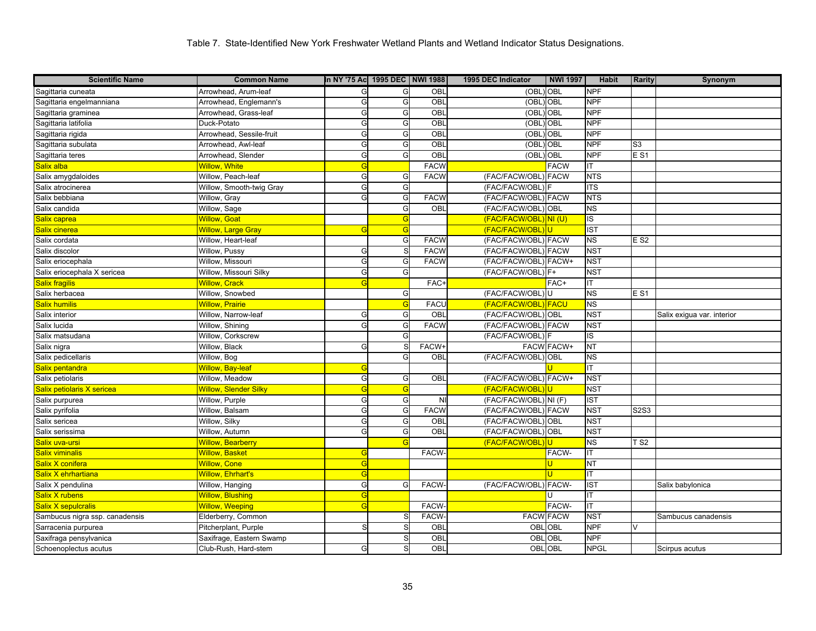| <b>Scientific Name</b>         | <b>Common Name</b>           | In NY '75 Ac 1995 DEC   NWI 1988 |    |                | 1995 DEC Indicator    | <b>NWI 1997</b>   | <b>Habit</b>            | <b>Rarity</b>  | Synonym                    |
|--------------------------------|------------------------------|----------------------------------|----|----------------|-----------------------|-------------------|-------------------------|----------------|----------------------------|
| Sagittaria cuneata             | Arrowhead, Arum-leaf         | G                                | G  | OBL            | (OBL) OBL             |                   | <b>NPF</b>              |                |                            |
| Sagittaria engelmanniana       | Arrowhead, Englemann's       | G                                | G  | OBL            | (OBL) OBL             |                   | <b>NPF</b>              |                |                            |
| Sagittaria graminea            | Arrowhead, Grass-leaf        | G                                | G  | OBL            | (OBL) OBL             |                   | <b>NPF</b>              |                |                            |
| Sagittaria latifolia           | Duck-Potato                  | G                                | G  | OBL            | (OBL) OBL             |                   | <b>NPF</b>              |                |                            |
| Sagittaria rigida              | Arrowhead, Sessile-fruit     | G                                | G  | OBL            | (OBL) OBL             |                   | <b>NPF</b>              |                |                            |
| Sagittaria subulata            | Arrowhead, Awl-leaf          | G                                | G  | OBL            | (OBL) OBL             |                   | <b>NPF</b>              | S <sub>3</sub> |                            |
| Sagittaria teres               | Arrowhead, Slender           | G                                | G  | OBL            | (OBL) OBL             |                   | <b>NPF</b>              | <b>ES1</b>     |                            |
| Salix alba                     | <b>Willow, White</b>         | G                                |    | <b>FACW</b>    |                       | <b>FACW</b>       | ΙT                      |                |                            |
| Salix amygdaloides             | Willow, Peach-leaf           | G                                | G  | <b>FACW</b>    | (FAC/FACW/OBL) FACW   |                   | <b>NTS</b>              |                |                            |
| Salix atrocinerea              | Willow, Smooth-twig Gray     | G                                | G  |                | (FAC/FACW/OBL) F      |                   | <b>ITS</b>              |                |                            |
| Salix bebbiana                 | Willow, Gray                 | G                                | G  | <b>FACW</b>    | (FAC/FACW/OBL) FACW   |                   | <b>NTS</b>              |                |                            |
| Salix candida                  | Willow, Sage                 |                                  | G  | OBL            | (FAC/FACW/OBL) OBL    |                   | NS                      |                |                            |
| Salix caprea                   | <b>Willow, Goat</b>          |                                  | G  |                | (FAC/FACW/OBL) NI (U) |                   | $\overline{\mathsf{s}}$ |                |                            |
| Salix cinerea                  | <b>Willow, Large Gray</b>    | G                                | G  |                | (FAC/FACW/OBL)U       |                   | <b>IST</b>              |                |                            |
| Salix cordata                  | Willow, Heart-leaf           |                                  | G  | <b>FACW</b>    | (FAC/FACW/OBL) FACW   |                   | <b>NS</b>               | E S2           |                            |
| Salix discolor                 | Willow, Pussy                | G                                | S  | <b>FACW</b>    | (FAC/FACW/OBL) FACW   |                   | <b>NST</b>              |                |                            |
| Salix eriocephala              | Willow, Missouri             | G                                | G  | <b>FACW</b>    | (FAC/FACW/OBL) FACW+  |                   | <b>NST</b>              |                |                            |
| Salix eriocephala X sericea    | Willow, Missouri Silky       | G                                | G  |                | (FAC/FACW/OBL) F+     |                   | <b>NST</b>              |                |                            |
| Salix fragilis                 | <b>Willow, Crack</b>         | G                                |    | FAC+           |                       | FAC+              | ΙT                      |                |                            |
| Salix herbacea                 | Willow, Snowbed              |                                  | G  |                | (FAC/FACW/OBL)U       |                   | $\overline{\text{NS}}$  | <b>ES1</b>     |                            |
| Salix humilis                  | <b>Willow, Prairie</b>       |                                  | G  | <b>FACU</b>    | (FAC/FACW/OBL) FACU   |                   | NS                      |                |                            |
| Salix interior                 | Willow, Narrow-leaf          | G                                | G  | <b>OBL</b>     | (FAC/FACW/OBL) OBL    |                   | <b>NST</b>              |                | Salix exigua var. interior |
| Salix lucida                   | Willow, Shining              | G                                | G  | <b>FACW</b>    | (FAC/FACW/OBL) FACW   |                   | <b>NST</b>              |                |                            |
| Salix matsudana                | Willow, Corkscrew            |                                  | G  |                | (FAC/FACW/OBL) F      |                   | ĪS                      |                |                            |
| Salix nigra                    | Willow, Black                | G                                |    | FACW+          |                       | <b>FACW FACW+</b> | $\overline{\text{NT}}$  |                |                            |
| Salix pedicellaris             | Willow, Bog                  |                                  | G  | OBL            | (FAC/FACW/OBL) OBL    |                   | $\overline{\text{NS}}$  |                |                            |
| Salix pentandra                | <b>Willow, Bay-leaf</b>      | G                                |    |                |                       |                   | IT                      |                |                            |
| Salix petiolaris               | Willow, Meadow               | G                                | G  | OBL            | (FAC/FACW/OBL) FACW+  |                   | <b>NST</b>              |                |                            |
| Salix petiolaris X sericea     | <b>Willow, Slender Silky</b> | G                                | G  |                | (FAC/FACW/OBL)U       |                   | <b>NST</b>              |                |                            |
| Salix purpurea                 | Willow, Purple               | G                                | G  | N <sub>1</sub> | (FAC/FACW/OBL) NI (F) |                   | <b>IST</b>              |                |                            |
| Salix pyrifolia                | Willow, Balsam               | G                                | G  | <b>FACW</b>    | (FAC/FACW/OBL) FACW   |                   | <b>NST</b>              | S2S3           |                            |
| Salix sericea                  | Willow, Silky                | G                                | G  | OBL            | (FAC/FACW/OBL) OBL    |                   | NST                     |                |                            |
| Salix serissima                | Willow, Autumn               | G                                | G  | OBL            | (FAC/FACW/OBL) OBL    |                   | <b>NST</b>              |                |                            |
| <mark>Salix uva-ursi</mark>    | Willow, Bearberry            |                                  |    |                | (FAC/FACW/OBL)U       |                   | $\overline{\text{NS}}$  | TS2            |                            |
| <b>Salix viminalis</b>         | <b>Willow, Basket</b>        | G                                |    | FACW-          |                       | FACW-             | IT                      |                |                            |
| Salix X conifera               | <b>Willow, Cone</b>          | G                                |    |                |                       | ū                 | <b>NT</b>               |                |                            |
| Salix X ehrhartiana            | Willow, Ehrhart's            | G                                |    |                |                       | $\mathbf{H}$      | IT                      |                |                            |
| Salix X pendulina              | Willow, Hanging              | G                                | G  | FACW-          | (FAC/FACW/OBL) FACW-  |                   | <b>IST</b>              |                | Salix babylonica           |
| <b>Salix X rubens</b>          | <b>Willow, Blushing</b>      | G                                |    |                |                       | U                 | ΙT                      |                |                            |
| Salix X sepulcralis            | <b>Willow, Weeping</b>       | G                                |    | FACW-          |                       | FACW-             | IT                      |                |                            |
| Sambucus nigra ssp. canadensis | Elderberry, Common           |                                  | S. | FACW-          | <b>FACW FACW</b>      |                   | <b>NST</b>              |                | Sambucus canadensis        |
| Sarracenia purpurea            | Pitcherplant, Purple         | S                                |    | OBL            | <b>OBL OBL</b>        |                   | <b>NPF</b>              | V              |                            |
| Saxifraga pensylvanica         | Saxifrage, Eastern Swamp     |                                  |    | OBL            |                       | <b>OBL OBL</b>    | <b>NPF</b>              |                |                            |
| Schoenoplectus acutus          | Club-Rush, Hard-stem         | G                                | S  | OBL            | <b>OBL OBL</b>        |                   | <b>NPGL</b>             |                | Scirpus acutus             |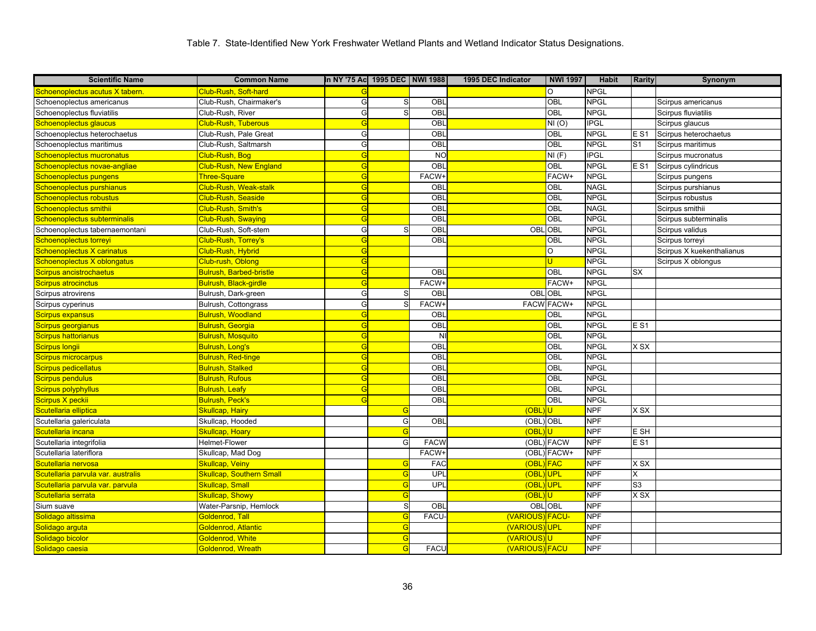| <b>Scientific Name</b>             | <b>Common Name</b>              | In NY '75 Ac 1995 DEC NWI 1988 |            |              | 1995 DEC Indicator | <b>NWI 1997</b>   | <b>Habit</b>             | <b>Rarity</b>   | Synonym                   |
|------------------------------------|---------------------------------|--------------------------------|------------|--------------|--------------------|-------------------|--------------------------|-----------------|---------------------------|
| Schoenoplectus acutus X tabern.    | Club-Rush, Soft-hard            |                                |            |              |                    | O                 | <b>NPGL</b>              |                 |                           |
| Schoenoplectus americanus          | Club-Rush, Chairmaker's         | G                              | S          | OBL          |                    | OBL               | <b>NPGL</b>              |                 | Scirpus americanus        |
| Schoenoplectus fluviatilis         | Club-Rush, River                | G                              | S          | OBL          |                    | OBL               | <b>NPGL</b>              |                 | Scirpus fluviatilis       |
| Schoenoplectus glaucus             | <b>Club-Rush, Tuberous</b>      | G                              |            | OBL          |                    | NI(0)             | $\overline{\text{IPGL}}$ |                 | Scirpus glaucus           |
| Schoenoplectus heterochaetus       | Club-Rush, Pale Great           | G                              |            | OBL          |                    | OBL               | <b>NPGL</b>              | E S1            | Scirpus heterochaetus     |
| Schoenoplectus maritimus           | Club-Rush, Saltmarsh            | G                              |            | OBL          |                    | OBL               | <b>NPGL</b>              | S <sub>1</sub>  | Scirpus maritimus         |
| Schoenoplectus mucronatus          | Club-Rush, Bog                  | G                              |            | <b>NO</b>    |                    | NI(F)             | <b>IPGL</b>              |                 | Scirpus mucronatus        |
| Schoenoplectus novae-angliae       | <b>Club-Rush, New England</b>   | G                              |            | OBL          |                    | OBL               | <b>NPGL</b>              | E <sub>S1</sub> | Scirpus cylindricus       |
| Schoenoplectus pungens             | Three-Square                    | G                              |            | FACW+        |                    | FACW+             | <b>NPGL</b>              |                 | Scirpus pungens           |
| Schoenoplectus purshianus          | Club-Rush, Weak-stalk           | G                              |            | OBL          |                    | OBL               | <b>NAGL</b>              |                 | Scirpus purshianus        |
| Schoenoplectus robustus            | Club-Rush, Seaside              | G                              |            | OBL          |                    | OBL               | <b>NPGL</b>              |                 | Scirpus robustus          |
| Schoenoplectus smithii             | Club-Rush, Smith's              | G                              |            | OBL          |                    | OBL               | <b>NAGL</b>              |                 | Scirpus smithii           |
| Schoenoplectus subterminalis       | Club-Rush, Swaying              | G                              |            | OBL          |                    | OBL               | <b>NPGL</b>              |                 | Scirpus subterminalis     |
| Schoenoplectus tabernaemontani     | Club-Rush, Soft-stem            | G                              |            | <b>OBL</b>   | OBL OBL            |                   | <b>NPGL</b>              |                 | Scirpus validus           |
| Schoenoplectus torreyi             | Club-Rush, Torrey's             | G                              |            | OBL          |                    | OBL               | <b>NPGL</b>              |                 | Scirpus torreyi           |
| Schoenoplectus X carinatus         | Club-Rush, Hybrid               | G                              |            |              |                    | O                 | <b>NPGL</b>              |                 | Scirpus X kuekenthalianus |
| Schoenoplectus X oblongatus        | Club-rush, Oblong               | G                              |            |              |                    | U.                | <b>NPGL</b>              |                 | Scirpus X oblongus        |
| Scirpus ancistrochaetus            | Bulrush, Barbed-bristle         | G                              |            | OBL          |                    | OBL               | <b>NPGL</b>              | <b>SX</b>       |                           |
| <b>Scirpus atrocinctus</b>         | Bulrush, Black-girdle           | G                              |            | FACW+        |                    | FACW+             | <b>NPGL</b>              |                 |                           |
| Scirpus atrovirens                 | Bulrush, Dark-green             | G                              |            | OBL          |                    | OBL OBL           | <b>NPGL</b>              |                 |                           |
| Scirpus cyperinus                  | Bulrush, Cottongrass            | G                              |            | <b>FACW-</b> |                    | <b>FACW FACW+</b> | <b>NPGL</b>              |                 |                           |
| <b>Scirpus expansus</b>            | <b>Bulrush, Woodland</b>        | G                              |            | OBL          |                    | OBL               | <b>NPGL</b>              |                 |                           |
| Scirpus georgianus                 | <b>Bulrush, Georgia</b>         | G                              |            | OBL          |                    | OBL               | <b>NPGL</b>              | <b>ES1</b>      |                           |
| <b>Scirpus hattorianus</b>         | Bulrush, Mosquito               | G                              |            | <b>NI</b>    |                    | OBL               | <b>NPGL</b>              |                 |                           |
| <b>Scirpus longii</b>              | Bulrush, Long's                 | G                              |            | OBL          |                    | OBL               | <b>NPGL</b>              | X SX            |                           |
| Scirpus microcarpus                | <b>Bulrush, Red-tinge</b>       | G                              |            | OBL          |                    | OBL               | <b>NPGL</b>              |                 |                           |
| Scirpus pedicellatus               | <b>Bulrush, Stalked</b>         | G                              |            | OBL          |                    | OBL               | <b>NPGL</b>              |                 |                           |
| <b>Scirpus pendulus</b>            | <b>Bulrush, Rufous</b>          | G                              |            | OBL          |                    | OBL               | <b>NPGL</b>              |                 |                           |
| <b>Scirpus polyphyllus</b>         | <b>Bulrush, Leafy</b>           | G                              |            | OBL          |                    | OBL               | <b>NPGL</b>              |                 |                           |
| Scirpus X peckii                   | <b>Bulrush, Peck's</b>          | G                              |            | OBL          |                    | OBL               | <b>NPGL</b>              |                 |                           |
| Scutellaria elliptica              | Skullcap, Hairy                 |                                |            |              | $(OBL)$ U          |                   | <b>NPF</b>               | X SX            |                           |
| Scutellaria galericulata           | Skullcap, Hooded                |                                | G          | OBL          | (OBL) OBL          |                   | <b>NPF</b>               |                 |                           |
| Scutellaria incana                 | Skullcap, Hoary                 |                                | G          |              | (OBL)U             |                   | <b>NPF</b>               | E SH            |                           |
| Scutellaria integrifolia           | Helmet-Flower                   |                                | G          | <b>FACW</b>  |                    | (OBL) FACW        | <b>NPF</b>               | E S1            |                           |
| Scutellaria lateriflora            | Skullcap, Mad Dog               |                                |            | <b>FACW</b>  |                    | (OBL) FACW+       | <b>NPF</b>               |                 |                           |
| Scutellaria nervosa                | Skullcap, Veiny                 |                                |            | <b>FAC</b>   | (OBL) FAC          |                   | <b>NPF</b>               | $x$ sx          |                           |
| Scutellaria parvula var. australis | <b>Skullcap, Southern Small</b> |                                |            | UPL          | (OBL)UPL           |                   | <b>NPF</b>               | X               |                           |
| Scutellaria parvula var. parvula   | <b>Skullcap, Small</b>          |                                | G          | UPL          | (OBL)UPL           |                   | <b>NPF</b>               | S3              |                           |
| Scutellaria serrata                | Skullcap, Showy                 |                                | G          |              | (OBL)U             |                   | <b>NPF</b>               | $x$ sx          |                           |
| Sium suave                         | Water-Parsnip, Hemlock          |                                | S          | OBL          | <b>OBLOBL</b>      |                   | <b>NPF</b>               |                 |                           |
| Solidago altissima                 | Goldenrod, Tall                 |                                | $\epsilon$ | <b>FACU</b>  | (VARIOUS) FACU-    |                   | <b>NPF</b>               |                 |                           |
| Solidago arguta                    | Goldenrod, Atlantic             |                                | G          |              | (VARIOUS)UPL       |                   | <b>NPF</b>               |                 |                           |
| Solidago bicolor                   | Goldenrod, White                |                                | G          |              | (VARIOUS)U         |                   | <b>NPF</b>               |                 |                           |
| Solidago caesia                    | Goldenrod, Wreath               |                                | G          | <b>FACU</b>  | (VARIOUS) FACU     |                   | <b>NPF</b>               |                 |                           |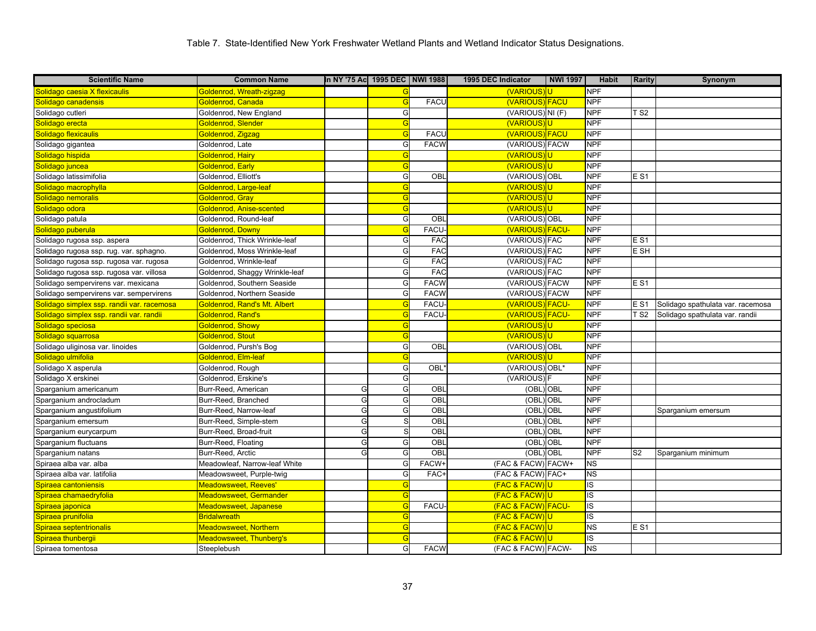| <b>Scientific Name</b>                                | <b>Common Name</b>             | In NY '75 Ac 1995 DEC NWI 1988 |                |              | 1995 DEC Indicator | <b>NWI 1997</b> | <b>Habit</b>   | <b>Rarity</b>  | Synonym                           |
|-------------------------------------------------------|--------------------------------|--------------------------------|----------------|--------------|--------------------|-----------------|----------------|----------------|-----------------------------------|
| Solidago caesia X flexicaulis                         | Goldenrod, Wreath-zigzag       |                                |                |              | (VARIOUS)U         |                 | <b>NPF</b>     |                |                                   |
| Solidago canadensis                                   | Goldenrod, Canada              |                                | G              | <b>FACU</b>  | (VARIOUS) FACU     |                 | <b>NPF</b>     |                |                                   |
| Solidago cutleri                                      | Goldenrod, New England         |                                | G              |              | (VARIOUS) NI (F)   |                 | <b>NPF</b>     | TS2            |                                   |
| Solidago erecta                                       | Goldenrod, Slender             |                                | G              |              | <b>(VARIOUS)</b>   |                 | <b>NPF</b>     |                |                                   |
| Solidago flexicaulis                                  | Goldenrod, Zigzag              |                                | G              | <b>FACL</b>  | (VARIOUS) FACU     |                 | <b>NPF</b>     |                |                                   |
| Solidago gigantea                                     | Goldenrod, Late                |                                | G              | <b>FACW</b>  | (VARIOUS) FACW     |                 | <b>NPF</b>     |                |                                   |
| Solidago hispida                                      | Goldenrod, Hairy               |                                | G              |              | <b>(VARIOUS)</b>   |                 | <b>NPF</b>     |                |                                   |
| Solidago juncea                                       | Goldenrod, Early               |                                | G              |              | (VARIOUS)U         |                 | <b>NPF</b>     |                |                                   |
| Solidago latissimifolia                               | Goldenrod, Elliott's           |                                | G              | OBL          | (VARIOUS) OBL      |                 | <b>NPF</b>     | <b>ES1</b>     |                                   |
| Solidago macrophylla                                  | Goldenrod, Large-leaf          |                                | G              |              | <b>(VARIOUS)U</b>  |                 | <b>NPF</b>     |                |                                   |
| Solidago nemoralis                                    | Goldenrod, Gray                |                                | G              |              | (VARIOUS)U         |                 | <b>NPF</b>     |                |                                   |
| Solidago odora                                        | Goldenrod, Anise-scented       |                                | G              |              | (VARIOUS)U         |                 | <b>NPF</b>     |                |                                   |
| Solidago patula                                       | Goldenrod, Round-leaf          |                                | G              | OBL          | (VARIOUS) OBL      |                 | <b>NPF</b>     |                |                                   |
| Solidago puberula                                     | Goldenrod, Downy               |                                | G              | <b>FACU</b>  | (VARIOUS) FACU-    |                 | <b>NPF</b>     |                |                                   |
| Solidago rugosa ssp. aspera                           | Goldenrod, Thick Wrinkle-leaf  |                                | G              | <b>FAC</b>   | (VARIOUS) FAC      |                 | <b>NPF</b>     | E S1           |                                   |
| Solidago rugosa ssp. rug. var. sphagno.               | Goldenrod, Moss Wrinkle-leaf   |                                | G              | <b>FAC</b>   | (VARIOUS) FAC      |                 | <b>NPF</b>     | E SH           |                                   |
| Solidago rugosa ssp. rugosa var. rugosa               | Goldenrod, Wrinkle-leaf        |                                | G              | FAC          | (VARIOUS) FAC      |                 | <b>NPF</b>     |                |                                   |
| Solidago rugosa ssp. rugosa var. villosa              | Goldenrod, Shaggy Wrinkle-leaf |                                | G              | <b>FAC</b>   | (VARIOUS) FAC      |                 | <b>NPF</b>     |                |                                   |
| Solidago sempervirens var. mexicana                   | Goldenrod, Southern Seaside    |                                | G              | <b>FACW</b>  | (VARIOUS) FACW     |                 | <b>NPF</b>     | <b>ES1</b>     |                                   |
| Solidago sempervirens var. sempervirens               | Goldenrod, Northern Seaside    |                                | G              | <b>FACW</b>  | (VARIOUS) FACW     |                 | <b>NPF</b>     |                |                                   |
| Solidago simplex ssp. randii var. racemosa            | Goldenrod, Rand's Mt. Albert   |                                | $\overline{C}$ | <b>FACL</b>  | (VARIOUS)          | <b>FACU-</b>    | <b>NPF</b>     | E S1           | Solidago spathulata var. racemosa |
| <mark>Solidago simplex ssp. randii var. randii</mark> | Goldenrod, Rand's              |                                | G              | <b>FACU</b>  | (VARIOUS)          | <b>FACU-</b>    | <b>NPF</b>     | T S2           | Solidago spathulata var. randii   |
| Solidago speciosa                                     | Goldenrod, Showy               |                                | G              |              | (VARIOUS)U         |                 | <b>NPF</b>     |                |                                   |
| Solidago squarrosa                                    | Goldenrod, Stout               |                                | G              |              | <b>(VARIOUS)U</b>  |                 | <b>NPF</b>     |                |                                   |
| Solidago uliginosa var. linoides                      | Goldenrod, Pursh's Bog         |                                | G              | OBL          | (VARIOUS) OBL      |                 | <b>NPF</b>     |                |                                   |
| Solidago ulmifolia                                    | Goldenrod, Elm-leat            |                                | G              |              | (VARIOUS)          | U               | <b>NPF</b>     |                |                                   |
| Solidago X asperula                                   | Goldenrod, Rough               |                                | G              | OBL          | (VARIOUS) OBL*     |                 | <b>NPF</b>     |                |                                   |
| Solidago X erskinei                                   | Goldenrod, Erskine's           |                                | G              |              | (VARIOUS)          |                 | <b>NPF</b>     |                |                                   |
| Sparganium americanum                                 | Burr-Reed, American            | G                              | G              | OBI          | $(OBL)$ $OBL$      |                 | <b>NPF</b>     |                |                                   |
| Sparganium androcladum                                | Burr-Reed, Branched            | G                              | G              | OBI          | (OBI               | OBL             | <b>NPF</b>     |                |                                   |
| Sparganium angustifolium                              | Burr-Reed, Narrow-leaf         | G                              | G              | OBL          | (OBL) OBL          |                 | <b>NPF</b>     |                | Sparganium emersum                |
| Sparganium emersum                                    | Burr-Reed, Simple-stem         | G                              | S              | <b>OBI</b>   | (OBL               | <b>OBL</b>      | <b>NPF</b>     |                |                                   |
| Sparganium eurycarpum                                 | Burr-Reed, Broad-fruit         | G                              | S              | OBL          | (OBL               | OBL             | <b>NPF</b>     |                |                                   |
| Sparganium fluctuans                                  | Burr-Reed, Floating            | G                              | G              | OBL          | (OBL) OBL          |                 | <b>NPF</b>     |                |                                   |
| Sparganium natans                                     | Burr-Reed, Arctic              | G                              | G              | OBI          | (OBL               | OBL             | <b>NPF</b>     | S <sub>2</sub> | Sparganium minimum                |
| Spiraea alba var. alba                                | Meadowleaf, Narrow-leaf White  |                                | G              | <b>FACW+</b> | (FAC & FACW) FACW+ |                 | <b>NS</b>      |                |                                   |
| Spiraea alba var. latifolia                           | Meadowsweet, Purple-twig       |                                | G              | FAC-         | (FAC & FACW) FAC+  |                 | <b>NS</b>      |                |                                   |
| Spiraea cantoniensis                                  | <b>Meadowsweet, Reeves'</b>    |                                | G              |              | (FAC & FACW)       |                 | $\overline{S}$ |                |                                   |
| Spiraea chamaedryfolia                                | Meadowsweet, Germander         |                                | G              |              | (FAC & FACW)U      |                 | IS             |                |                                   |
| Spiraea japonica                                      | Meadowsweet, Japanese          |                                | G              | <b>FACU</b>  | (FAC & FACW) FACU- |                 | <b>IS</b>      |                |                                   |
| Spiraea prunifolia                                    | <b>Bridalwreath</b>            |                                | G              |              | (FAC & FACW)U      |                 | <b>IS</b>      |                |                                   |
| Spiraea septentrionalis                               | Meadowsweet, Northern          |                                | G              |              | (FAC & FACW)U      |                 | <b>NS</b>      | E S1           |                                   |
| Spiraea thunbergii                                    | Meadowsweet, Thunberg's        |                                | G              |              | (FAC & FACW)U      |                 | <b>IS</b>      |                |                                   |
| Spiraea tomentosa                                     | Steeplebush                    |                                | G              | <b>FACW</b>  | (FAC & FACW) FACW- |                 | <b>NS</b>      |                |                                   |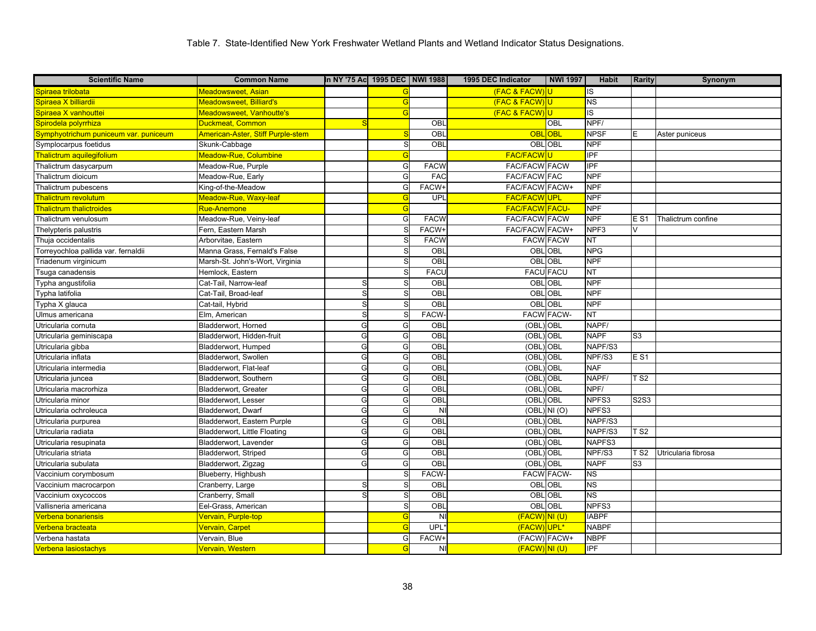| <b>Scientific Name</b>                | <b>Common Name</b>                | In NY '75 Ac 1995 DEC NWI 1988 |            |                 | 1995 DEC Indicator    | <b>NWI 1997</b>   | Habit        | <b>Rarity</b>     | Synonym             |
|---------------------------------------|-----------------------------------|--------------------------------|------------|-----------------|-----------------------|-------------------|--------------|-------------------|---------------------|
| Spiraea trilobata                     | <b>Meadowsweet, Asian</b>         |                                |            |                 | (FAC & FACW)U         |                   | <b>IS</b>    |                   |                     |
| Spiraea X billiardii                  | Meadowsweet, Billiard's           |                                | G          |                 | (FAC & FACW)U         |                   | ΝS           |                   |                     |
| Spiraea X vanhouttei                  | <b>Meadowsweet, Vanhoutte's</b>   |                                | G          |                 | (FAC & FACW)U         |                   | IS           |                   |                     |
| Spirodela polyrrhiza                  | Duckmeat, Common                  |                                |            | OBL             |                       | OBL               | NPF/         |                   |                     |
| Symphyotrichum puniceum var. puniceum | American-Aster, Stiff Purple-stem |                                |            | OBL             | <b>OBL</b>            | <b>OBL</b>        | <b>NPSF</b>  | E                 | Aster puniceus      |
| Symplocarpus foetidus                 | Skunk-Cabbage                     |                                | S.         | OBL             | OBL OBL               |                   | <b>NPF</b>   |                   |                     |
| Thalictrum aquilegifolium             | Meadow-Rue, Columbine             |                                | $\epsilon$ |                 | <b>FAC/FACW</b>       |                   | IPF          |                   |                     |
| Thalictrum dasycarpum                 | Meadow-Rue, Purple                |                                | G          | <b>FACW</b>     | FAC/FACW FACW         |                   | IPF          |                   |                     |
| Thalictrum dioicum                    | Meadow-Rue, Early                 |                                | G          | FAC             | <b>FAC/FACW FAC</b>   |                   | <b>NPF</b>   |                   |                     |
| Thalictrum pubescens                  | King-of-the-Meadow                |                                | G          | FACW+           | FAC/FACW FACW+        |                   | <b>NPF</b>   |                   |                     |
| <b>Thalictrum revolutum</b>           | Meadow-Rue, Waxy-leaf             |                                | G          | UPL             | <b>FAC/FACWUPL</b>    |                   | <b>NPF</b>   |                   |                     |
| <b>Thalictrum thalictroides</b>       | Rue-Anemone                       |                                |            |                 | <b>FAC/FACW FACU-</b> |                   | <b>NPF</b>   |                   |                     |
| Thalictrum venulosum                  | Meadow-Rue, Veiny-leaf            |                                | G          | <b>FACW</b>     | <b>FAC/FACW FACW</b>  |                   | <b>NPF</b>   | E S1              | Thalictrum confine  |
| Thelypteris palustris                 | Fern, Eastern Marsh               |                                |            | FACW+           | FAC/FACW FACW+        |                   | NPF3         | V                 |                     |
| Thuja occidentalis                    | Arborvitae, Eastern               |                                |            | <b>FACW</b>     |                       | <b>FACW FACW</b>  | <b>NT</b>    |                   |                     |
| Torreyochloa pallida var. fernaldii   | Manna Grass, Fernald's False      |                                |            | OBL             | OBL                   | OBL               | <b>NPG</b>   |                   |                     |
| Triadenum virginicum                  | Marsh-St. John's-Wort, Virginia   |                                | S          | $\overline{OB}$ |                       | OBL OBL           | <b>NPF</b>   |                   |                     |
| Tsuga canadensis                      | Hemlock, Eastern                  |                                | S          | FACL            | <b>FACU FACU</b>      |                   | <b>NT</b>    |                   |                     |
| Typha angustifolia                    | Cat-Tail. Narrow-leaf             | S                              |            | OBL             | OBL                   | <b>OBL</b>        | <b>NPF</b>   |                   |                     |
| Typha latifolia                       | Cat-Tail, Broad-leaf              | S                              |            | OBL             |                       | OBL OBL           | <b>NPF</b>   |                   |                     |
| Typha X glauca                        | Cat-tail, Hybrid                  | S                              |            | OBL             | <b>OBLOBL</b>         |                   | <b>NPF</b>   |                   |                     |
| Ulmus americana                       | Elm, American                     | S                              |            | <b>FACW</b>     |                       | <b>FACW FACW-</b> | NT           |                   |                     |
| Utricularia cornuta                   | Bladderwort, Horned               | G                              | G          | OBL             | (OBL)                 | <b>OBL</b>        | NAPF/        |                   |                     |
| Utricularia geminiscapa               | Bladderwort, Hidden-fruit         | G                              | G          | OBL             | (OBL)                 | OBL               | <b>NAPF</b>  | S <sub>3</sub>    |                     |
| Utricularia gibba                     | Bladderwort, Humped               | G                              | G          | OBL             | (OBL)                 | <b>OBL</b>        | NAPF/S3      |                   |                     |
| Utricularia inflata                   | Bladderwort, Swollen              | G                              | G          | OBL             | (OBL) OBL             |                   | NPF/S3       | <b>ES1</b>        |                     |
| Utricularia intermedia                | Bladderwort, Flat-leaf            | G                              | G          | OBL             | (OBL)                 | <b>OBL</b>        | <b>NAF</b>   |                   |                     |
| Utricularia juncea                    | Bladderwort, Southern             | G                              | G          | OBL             | (OBL)                 | OBL               | NAPF/        | T S2              |                     |
| Utricularia macrorhiza                | Bladderwort, Greater              | G                              | G          | OBL             | (OBL)                 | <b>OBL</b>        | NPF/         |                   |                     |
| Utricularia minor                     | Bladderwort, Lesser               | G                              | G          | OBL             | (OBL                  | OBL               | NPFS3        | <b>S2S3</b>       |                     |
| Utricularia ochroleuca                | Bladderwort, Dwarf                | G                              | G          | <b>NI</b>       | (OBL)                 | NI(0)             | NPFS3        |                   |                     |
| Utricularia purpurea                  | Bladderwort, Eastern Purple       | G                              | G          | OBL             | (OBL)                 | <b>OBL</b>        | NAPF/S3      |                   |                     |
| Utricularia radiata                   | Bladderwort, Little Floating      | G                              | G          | OBL             | (OBL)                 | <b>OBL</b>        | NAPF/S3      | $\overline{1}$ S2 |                     |
| Utricularia resupinata                | Bladderwort, Lavender             | G                              | G          | OBL             | (OBL) OBL             |                   | NAPFS3       |                   |                     |
| Utricularia striata                   | Bladderwort, Striped              | G                              | G          | OBL             | (OBL)                 | <b>OBL</b>        | NPF/S3       | T S2              | Utricularia fibrosa |
| Utricularia subulata                  | Bladderwort, Zigzag               | G                              | G          | OBL             | (OBL)                 | <b>OBL</b>        | <b>NAPF</b>  | S <sub>3</sub>    |                     |
| Vaccinium corymbosum                  | Blueberry, Highbush               |                                |            | <b>FACW</b>     |                       | <b>FACW FACW-</b> | <b>NS</b>    |                   |                     |
| Vaccinium macrocarpon                 | Cranberry, Large                  | S                              |            | OBL             | OBL                   | OBL               | <b>NS</b>    |                   |                     |
| Vaccinium oxycoccos                   | Cranberry, Small                  | S                              |            | OBL             | OBL                   | <b>OBL</b>        | <b>NS</b>    |                   |                     |
| Vallisneria americana                 | Eel-Grass, American               |                                | S          | OBL             | <b>OBLOBL</b>         |                   | NPFS3        |                   |                     |
| <b>Verbena bonariensis</b>            | Vervain, Purple-top               |                                | $\epsilon$ | <b>NI</b>       | (FACW) NI (U)         |                   | <b>IABPF</b> |                   |                     |
| √erbena bracteata                     | <b>Vervain, Carpet</b>            |                                | G          | UPL*            | (FACW)UPL*            |                   | <b>NABPF</b> |                   |                     |
| Verbena hastata                       | Vervain, Blue                     |                                | G          | FACW+           | (FACW) FACW+          |                   | <b>NBPF</b>  |                   |                     |
| Verbena lasiostachys                  | Vervain, Western                  |                                |            | NI              | (FACW) NI (U)         |                   | IPF          |                   |                     |